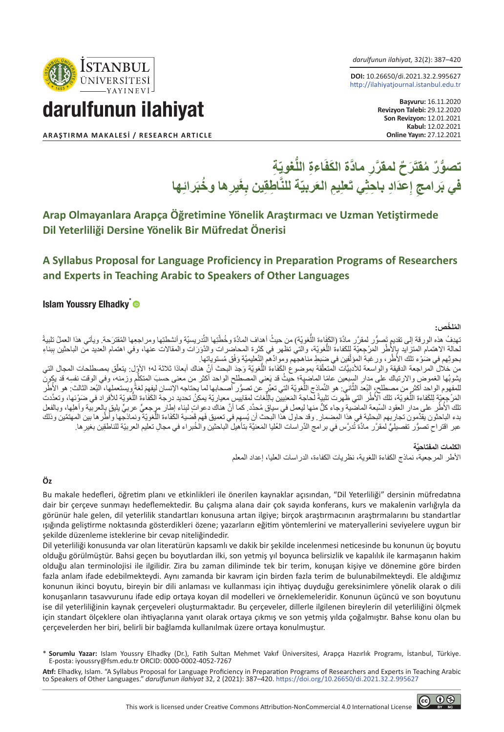*darulfunun ilahiyat,* 32(2): 387–420

**DOI:** 10.26650/di.2021.32.2.995627 http://ilahiyatjournal.istanbul.edu.tr

darulfunun ilahiyat

**ISTANBUL** ÜNİVERSİTESİ

**ARAŞTIRMA MAKALESİ / RESEARCH ARTICLE** 

**Başvuru:** 16.11.2020 **Revizyon Talebi:** 29.12.2020 **Son Revizyon:** 12.01.2021 **Kabul:** 12.02.2021<br>**Online Yayın:** 27.12.2021

## **ّ ِة ُّغوي ِ اءة الل َ َر ٌح َّ لمقر ِر َّ ماد َ ة الكف ُّ تصو ٌر ُ مقت َ**في بَرامجِ إعدَادِ باحِثِي تَعلِيمِ العَربيّة للنّاطِقِين بِغَيرِها وخَبَرائِها

## **Arap Olmayanlara Arapça Öğretimine Yönelik Araştırmacı ve Uzman Yetiştirmede Dil Yeterliliği Dersine Yönelik Bir Müfredat Önerisi**

## **A Syllabus Proposal for Language Proficiency in Preparation Programs of Researchers and Experts in Teaching Arabic to Speakers of Other Languages**

#### Islam Youssry Elhadky<sup>\*</sup>

#### **الم ّ لخص: ُ**

ً نهدِفُ هذه الورقة إلى تقديمٍ تَصوُّر لمقرَّر مادَّة (الكَفَاءة اللُّغويَّة) من حيثُ أهداف المادَّة وخُطَّتِها التَّدريسيّة وأنشطتِها ومراجعِها المُقترَحة. ويأتي هذا العملُ تلبيةً لحالة الاهتمام المنز آيد بالأطر المَرْجِعيّة لِلكفاءَة اللَّغويّة، والتي تظهر في كَثِّرة المحاضرات والدَّوَرَات والمقالات عنها، وفي اهتمام العديد من الباحثين بِبناءِ ِ ا :<br>أ بحوثِهم في ضُوْء تلك الأُطُرِ ، ور غبةَ المؤلِّفين في ضَبِطِ مناهجهم وموادِّهم التّعليميَّة وَفْق مُستوياتِها. ֖֖֖֖֖֧֧֧֧֧֧֧֧֧֚֚֚֚֚֚֚֚֚֚֚֚֚֚֚֚֚֚֚֚֚֡֬֝֓֞֟֓֡֬֓֓֞֓֞֓֞֓֞֓֡֬֓֓֞֓֡֓֬֓֓֞֓֡֬֓֓֞֬֝֬֝֬֝֬֝֬֝֬֝֬֝֬֝֬֝֬֝֬֝֬֝֬

من خلال المراجعة الدقيقة والواسعة للأدبيَّات الْمتعلَّقة بموضوع الكَفَاءة اللَّغويَّة وَجدَ البحث أنَّ هذلك أبعادًا ثلاثة له؛ الأوِّل: يتعلَّق بمصطلحات المجال التي ِّيثبوبُها الغموض والارتباك على مدار السبعين عامًا الماضية؛ حيثُ قد يَعني المصطلح الواحد أكثر من معني حسبَ المتكلم وزمنه، وفي الوقت نفسِه قد يكون<br>.. للمفهوم الواحد أكثر من مصطلح، البُعد الثَّاني: هو النَّماذج النُّغويَّة التي تصرَّر أصحابها لما يحتاجه الإنسان ليفهمَ لغةً ويستعملها، البُعد الثالث: هو الأُطر<br>المَرْجِبِيَّة لِلْكَفاءة اللُّغور التي ظهرت تلبِيةً لحاجة الم ِل ًالمرجعة للحفاءة اللغوية، نلك الاطر التي ظهرت نلبيه لحاجه المعنيين باللغات لمعاييس معياريه يمكن نحديد نرجه الكفوة اللغوية للافراد في ضونها، ونعدت<br>تلك الأطر علي مدار العقود السبعة الماضية وجاء كلّ منها ليعمل في سياق مُحدَّد ُّ أَ بدء الباحثون يقدّمون تجاربهم البحثية في هذا المِضمار . وقد حاول هذا البحث أن يُسهِم في تعميق فَهم قَضيَة الكَفَاءة اللّغويّة ونماذجها وأطرها بين المهتمّين وذلك عبر اقتراحِ تصوُّر تفصيليٍّ لمقرَّر مادَّة تُدرَّس في برامج الدُراسات العُليا المَعنيَّة بتأهيل الباحثين والخُبر اء في مجالِ تعليم العربيّة للناطقِين بغيرِ ها.

#### **َّة الكلمات المفتاحي**

األطر المرجعية، نماذج الكفاءة اللغوية، نظريات الكفاءة، الدراسات العليا، إعداد المعلم

#### **Öz**

Bu makale hedefleri, öğretim planı ve etkinlikleri ile önerilen kaynaklar açısından, "Dil Yeterliliği" dersinin müfredatına dair bir çerçeve sunmayı hedeflemektedir. Bu çalışma alana dair çok sayıda konferans, kurs ve makalenin varlığıyla da görünür hale gelen, dil yeterlilik standartları konusuna artan ilgiye; birçok araştırmacının araştırmalarını bu standartlar ışığında geliştirme noktasında gösterdikleri özene; yazarların eğitim yöntemlerini ve materyallerini seviyelere uygun bir şekilde düzenleme isteklerine bir cevap niteliğindedir.

Dil yeterliliği konusunda var olan literatürün kapsamlı ve dakik bir şekilde incelenmesi neticesinde bu konunun üç boyutu olduğu görülmüştür. Bahsi geçen bu boyutlardan ilki, son yetmiş yıl boyunca belirsizlik ve kapalılık ile karmaşanın hakim olduğu alan terminolojisi ile ilgilidir. Zira bu zaman diliminde tek bir terim, konuşan kişiye ve dönemine göre birden fazla anlam ifade edebilmekteydi. Aynı zamanda bir kavram için birden fazla terim de bulunabilmekteydi. Ele aldığımız konunun ikinci boyutu, bireyin bir dili anlaması ve kullanması için ihtiyaç duyduğu gereksinimlere yönelik olarak o dili konuşanların tasavvurunu ifade edip ortaya koyan dil modelleri ve örneklemeleridir. Konunun üçüncü ve son boyutunu ise dil yeterliliğinin kaynak çerçeveleri oluşturmaktadır. Bu çerçeveler, dillerle ilgilenen bireylerin dil yeterliliğini ölçmek için standart ölçeklere olan ihtiyaçlarına yanıt olarak ortaya çıkmış ve son yetmiş yılda çoğalmıştır. Bahse konu olan bu çerçevelerden her biri, belirli bir bağlamda kullanılmak üzere ortaya konulmuştur.

\* **Sorumlu Yazar:** Islam Youssry Elhadky (Dr.), Fatih Sultan Mehmet Vakıf Üniversitesi, Arapça Hazırlık Programı, İstanbul, Türkiye. E-posta: iyoussry@fsm.edu.tr ORCID: 0000-0002-4052-7267

**Atıf:** Elhadky, Islam. "A Syllabus Proposal for Language Proficiency in Preparation Programs of Researchers and Experts in Teaching Arabic to Speakers of Other Languages." *darulfunun ilahiyat* 32, 2 (2021): 387–420. https://doi.org/10.26650/di.2021.32.2.995627

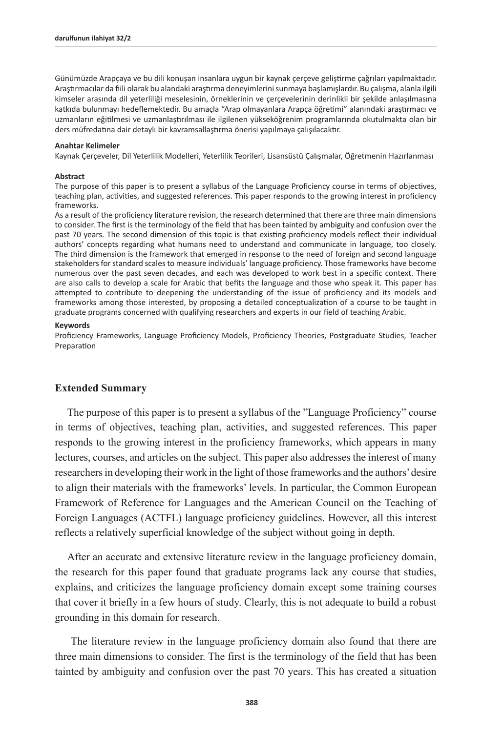Günümüzde Arapçaya ve bu dili konuşan insanlara uygun bir kaynak çerçeve geliştirme çağrıları yapılmaktadır. Araştırmacılar da fiili olarak bu alandaki araştırma deneyimlerini sunmaya başlamışlardır. Bu çalışma, alanla ilgili kimseler arasında dil yeterliliği meselesinin, örneklerinin ve çerçevelerinin derinlikli bir şekilde anlaşılmasına katkıda bulunmayı hedeflemektedir. Bu amaçla "Arap olmayanlara Arapça öğretimi" alanındaki araştırmacı ve uzmanların eğitilmesi ve uzmanlaştırılması ile ilgilenen yükseköğrenim programlarında okutulmakta olan bir ders müfredatına dair detaylı bir kavramsallaştırma önerisi yapılmaya çalışılacaktır.

#### **Anahtar Kelimeler**

Kaynak Çerçeveler, Dil Yeterlilik Modelleri, Yeterlilik Teorileri, Lisansüstü Çalışmalar, Öğretmenin Hazırlanması

#### **Abstract**

The purpose of this paper is to present a syllabus of the Language Proficiency course in terms of objectives, teaching plan, activities, and suggested references. This paper responds to the growing interest in proficiency frameworks.

As a result of the proficiency literature revision, the research determined that there are three main dimensions to consider. The first is the terminology of the field that has been tainted by ambiguity and confusion over the past 70 years. The second dimension of this topic is that existing proficiency models reflect their individual authors' concepts regarding what humans need to understand and communicate in language, too closely. The third dimension is the framework that emerged in response to the need of foreign and second language stakeholders for standard scales to measure individuals' language proficiency. Those frameworks have become numerous over the past seven decades, and each was developed to work best in a specific context. There are also calls to develop a scale for Arabic that befits the language and those who speak it. This paper has attempted to contribute to deepening the understanding of the issue of proficiency and its models and frameworks among those interested, by proposing a detailed conceptualization of a course to be taught in graduate programs concerned with qualifying researchers and experts in our field of teaching Arabic.

#### **Keywords**

Proficiency Frameworks, Language Proficiency Models, Proficiency Theories, Postgraduate Studies, Teacher Preparation

#### **Extended Summary**

The purpose of this paper is to present a syllabus of the "Language Proficiency" course in terms of objectives, teaching plan, activities, and suggested references. This paper responds to the growing interest in the proficiency frameworks, which appears in many lectures, courses, and articles on the subject. This paper also addresses the interest of many researchers in developing their work in the light of those frameworks and the authors' desire to align their materials with the frameworks' levels. In particular, the Common European Framework of Reference for Languages and the American Council on the Teaching of Foreign Languages (ACTFL) language proficiency guidelines. However, all this interest reflects a relatively superficial knowledge of the subject without going in depth.

After an accurate and extensive literature review in the language proficiency domain, the research for this paper found that graduate programs lack any course that studies, explains, and criticizes the language proficiency domain except some training courses that cover it briefly in a few hours of study. Clearly, this is not adequate to build a robust grounding in this domain for research.

 The literature review in the language proficiency domain also found that there are three main dimensions to consider. The first is the terminology of the field that has been tainted by ambiguity and confusion over the past 70 years. This has created a situation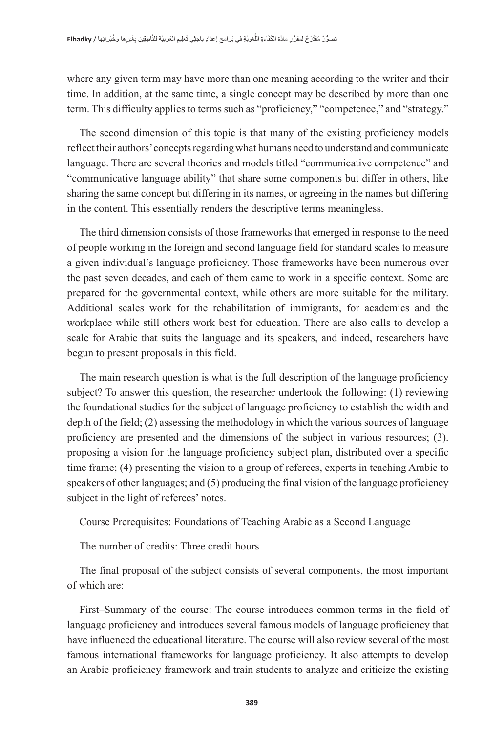where any given term may have more than one meaning according to the writer and their time. In addition, at the same time, a single concept may be described by more than one term. This difficulty applies to terms such as "proficiency," "competence," and "strategy."

The second dimension of this topic is that many of the existing proficiency models reflect their authors' concepts regarding what humans need to understand and communicate language. There are several theories and models titled "communicative competence" and "communicative language ability" that share some components but differ in others, like sharing the same concept but differing in its names, or agreeing in the names but differing in the content. This essentially renders the descriptive terms meaningless.

The third dimension consists of those frameworks that emerged in response to the need of people working in the foreign and second language field for standard scales to measure a given individual's language proficiency. Those frameworks have been numerous over the past seven decades, and each of them came to work in a specific context. Some are prepared for the governmental context, while others are more suitable for the military. Additional scales work for the rehabilitation of immigrants, for academics and the workplace while still others work best for education. There are also calls to develop a scale for Arabic that suits the language and its speakers, and indeed, researchers have begun to present proposals in this field.

The main research question is what is the full description of the language proficiency subject? To answer this question, the researcher undertook the following: (1) reviewing the foundational studies for the subject of language proficiency to establish the width and depth of the field; (2) assessing the methodology in which the various sources of language proficiency are presented and the dimensions of the subject in various resources; (3). proposing a vision for the language proficiency subject plan, distributed over a specific time frame; (4) presenting the vision to a group of referees, experts in teaching Arabic to speakers of other languages; and (5) producing the final vision of the language proficiency subject in the light of referees' notes.

Course Prerequisites: Foundations of Teaching Arabic as a Second Language

The number of credits: Three credit hours

The final proposal of the subject consists of several components, the most important of which are:

First–Summary of the course: The course introduces common terms in the field of language proficiency and introduces several famous models of language proficiency that have influenced the educational literature. The course will also review several of the most famous international frameworks for language proficiency. It also attempts to develop an Arabic proficiency framework and train students to analyze and criticize the existing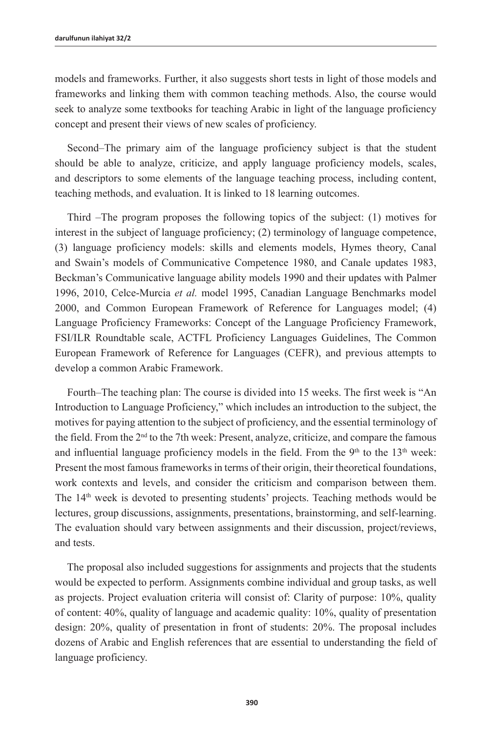models and frameworks. Further, it also suggests short tests in light of those models and frameworks and linking them with common teaching methods. Also, the course would seek to analyze some textbooks for teaching Arabic in light of the language proficiency concept and present their views of new scales of proficiency.

Second–The primary aim of the language proficiency subject is that the student should be able to analyze, criticize, and apply language proficiency models, scales, and descriptors to some elements of the language teaching process, including content, teaching methods, and evaluation. It is linked to 18 learning outcomes.

Third –The program proposes the following topics of the subject: (1) motives for interest in the subject of language proficiency; (2) terminology of language competence, (3) language proficiency models: skills and elements models, Hymes theory, Canal and Swain's models of Communicative Competence 1980, and Canale updates 1983, Beckman's Communicative language ability models 1990 and their updates with Palmer 1996, 2010, Celce-Murcia *et al.* model 1995, Canadian Language Benchmarks model 2000, and Common European Framework of Reference for Languages model; (4) Language Proficiency Frameworks: Concept of the Language Proficiency Framework, FSI/ILR Roundtable scale, ACTFL Proficiency Languages Guidelines, The Common European Framework of Reference for Languages (CEFR), and previous attempts to develop a common Arabic Framework.

Fourth–The teaching plan: The course is divided into 15 weeks. The first week is "An Introduction to Language Proficiency," which includes an introduction to the subject, the motives for paying attention to the subject of proficiency, and the essential terminology of the field. From the  $2<sup>nd</sup>$  to the 7th week: Present, analyze, criticize, and compare the famous and influential language proficiency models in the field. From the  $9<sup>th</sup>$  to the  $13<sup>th</sup>$  week: Present the most famous frameworks in terms of their origin, their theoretical foundations, work contexts and levels, and consider the criticism and comparison between them. The 14<sup>th</sup> week is devoted to presenting students' projects. Teaching methods would be lectures, group discussions, assignments, presentations, brainstorming, and self-learning. The evaluation should vary between assignments and their discussion, project/reviews, and tests.

The proposal also included suggestions for assignments and projects that the students would be expected to perform. Assignments combine individual and group tasks, as well as projects. Project evaluation criteria will consist of: Clarity of purpose: 10%, quality of content: 40%, quality of language and academic quality: 10%, quality of presentation design: 20%, quality of presentation in front of students: 20%. The proposal includes dozens of Arabic and English references that are essential to understanding the field of language proficiency.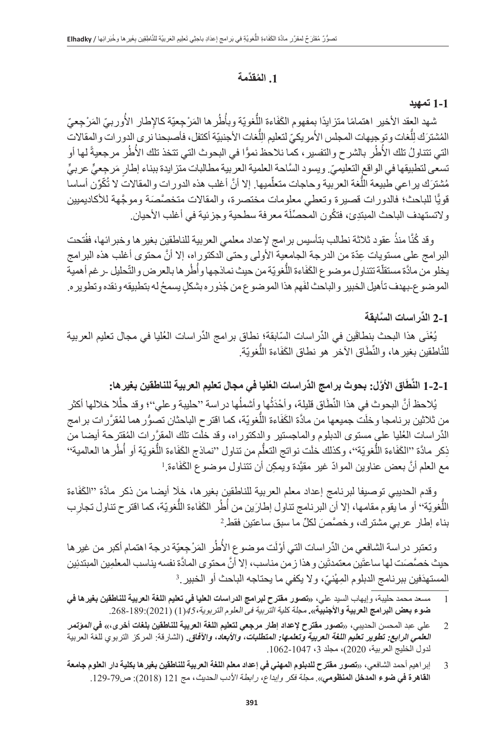## **ُ .1 الم ِّقدمة**

#### **1-1 تمهيد**

ُثمهد العقد الأخير اهتمامًا متزايدًا بِمفهوم الكَفَاءة اللَّغويّة وبأُطُر ها المَرْجِعيّة كالإطار الأُوربيّ المَرْجِعيّ ُالمُشترَك لِلّغات وتوجيهات المجلس الأمريكيّ لتعليم الِلّغات الأجنبيّة أكتفل، فأصبحنا نرى الدور ات والمقالات  $\frac{1}{2}$ َِل التي تتناولُ تلك الأُطُر بالشرح والتفسير، كما نلاحظ نموًّا في البحوث التي تتخذ تلك الأُطُر مرجعيةً لها أو ؘ<br>ا تسعى لتطبيقها في الواقع التعليميّ. ويسود السّاحة العلمية العربية مطالبات متز ايدة ببناء إطارٍ مَرجِعيٍّ عربيٍّ مُشترَك يراعي طبيعة اللُّغة العربية وحاجات متعلِّميها. إلا أنَّ أغلب هذه الدورات والمقالات لا تُكّوِّن أساسا قويًّا للباحث؛ فالدورات قصيرة وتعطي معلومات مختصرة، والمقالات متخصَّصَة وموجَّهة للأكاديميين ولاتستهدف الباحث المبتدِئ، فتكُون المحصِّلَة معرفة سطحية وجزئية في أغلب الأحيان ِ

وقد كُنَّا منذُ عقود ثلاثة نطالب بتأسيس برامج لإعداد معلمي العربية للناطقين بغير ها وخبر ائها، ففُتحت البرامج على مستويات عِدّة من الدرجة الجامعية الأولى وحتى الدكتوراه، إلا أنّ محتوى أغلب هذه البرامج يخلو من مادَّة مستقلَّة تتناول موضوع الكَفَاءة اللَّغويّة من حيث نماذجها وأُطُر ها بالعرض والتّحليل -رغم أهمية الموضوع-بهدف تأهيل الخبير والباحث لفَهم هذا الموضوع من جُذوره بشكلٍ بسمحُ له بتطبيقه ونقده وتطويره.

## **ِّ 2-1 الد َّ راسات السابقة**

يُغْنَى هذا البحث بنطاقَين في الدِّراسات السّابقة؛ نطاق بر امج الدِّراسات الْعُليا في مجال تعليم العربية للنَّاطقين بغير ها، والنِّطَاق الأخر هو نطاق الكَفَاءة اللَّغويّة.

#### **ََّ اق األو ِّ ل: بحوث برامج الد ُ راسات العليا في مجال تعليم العربية للناطقين بغيرها: ِّط 1-2-1 الن**

يُلاحظ أنَّ البحوث في هذا النِّطَاق قليلة، وأحْدَثُها وِأشملُها دراسة ''حليبة وعلي''؛ وقد حلّلا خلالها أكثر من ثلاثين برنامجا وخلَت جميعها من مادَّة الكَفَاءة اللَّغويّة، كما اقترح الباحثان تصوُّر هما لمُقرَّر ات برامج الدِّراسات الْحُليا علـي مستوى الدبلوم والماجستير والدكتوراه، وقد خلَّت تلك المقرَّرات المُقترحة أيضا من ذِكر مادَّة ''الكَفَاءة اللَّغويّة''، وكذلك خلَت نواتج التعلَّم من تناول ''نماذج الكَفَاءة اللَّغويّة أو أُطُر ها العالمية''<br>مع العلم أنَّ بعض عناوين الموادّ غير مقدَّدة ويمكن أن تتناول موضوع الكَفَاءة ا مع العلم أنَّ بعض عناوين الموادّ غير مقيَّدة ويمكِن أن تتناول موضوع الكَفَاءة ِ

وقدم الحديبي توصيفا لبرنامج إعداد معلم العربية للناطقين بغير ها، خلَا أيضا من ذكر مادَّة ''الكَفَاءة اللُّغويّة<sup>،،</sup> أو ما يقوم مقامها، إلا أن البرنامج تناول إطارَين من أُطُر الكَفَاءة اللُّغويّة، كما اقترح تناول تجارِب<br>ناء اطلاع دين مشترك، وخصَّص لكلِّ ما سبق ساعتين فقط <sup>2</sup> َّ بناء إطار عربي مشترك، وخص َص ِّ لكل ما سبق ساعتين فقط.

ؘ<br>ا وتعتبر در اسة الشافعي من الدِّر اسات التي أوْلَت موضوع الأُطُر المَرْجِعيّة درجة اهتمام أكبر من غير ها حيث خصَّصَت لها ساعتَين معتمدتَين و هذا ز من مناسب، إلا أنّ محتوى المادّة نفسه يناسب المعلمِين المبتدئِين<br>المستمدِّفين بير نامج الديلو و الموْتَرَ ، و لا يكوّ . ما يحتاجه الباحث أو الخبير . <sup>3</sup> المستهدَفين ببر نامج الدبلوم المِهْنيّ، و لا يكفي ما يحتاجه الباحث أو الخبير .<sup>3</sup>

- 1 مسعد محمد حليبة، وإيهاب السيد علي، **»تصور مقترح لبرامج الدراسات العليا في تعليم اللغة العربية للناطقين بغيرها في ضوء بعض البرامج العربية واألجنبية«.** مجلة کلية التربية فى العلوم التربوية*45*،)1( )2021(.268-189:
- 2 علي عبد المحسن الحديبي، »**تصور مقترح إلعداد إطار مرجعي لتعليم اللغة العربية للناطقين بلغات أخرى،« في المؤتمر العلمي الرابع: تطوير تعليم اللغة العربية وتعلمها: المتطلبات، واألبعاد، واآلفاق.** )الشارقة: المركز التربوي للغة العربية لدول الخليج العربية، 2020(، مجلد ،3 .1062-1047
- 3 إبراهيم أحمد الشافعي، »**تصور مقترح للدبلوم المهني في إعداد معلم اللغة العربية للناطقين بغيرها بكلية دار العلوم جامعة القاهرة في ضوء المدخل المنظومي**«. مجلة فكر وإبداع، رابطة األدب الحديث، مج 121 )2018(: ص.129-79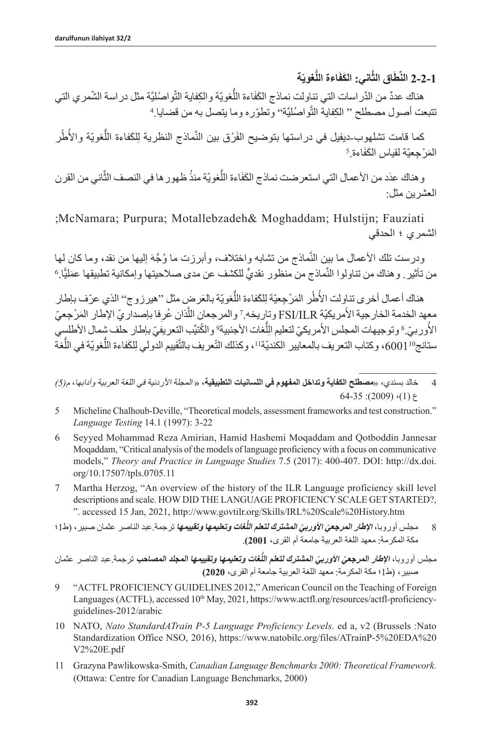**ّة ُّغوي َاءة الل َّ َ اني: الكف َاق الث ِّط 2-2-1 الن**

هناك عددٌ من الدِّر اسات التي تناولت نماذج الكَفَاءة اللَّغويّة والكِفاية الثَّواصُليَّة مثل در اسة الشَّمري التي نتبعت أصول مصطلح '' الكِفاية التّواصُليَّة'' وتطوّره وما يتصل به من قضايا ِ ُ

كما قامت تشلهوب-ديفيل في در استها بتوضيح الفَرْق بين النَّماذج النظرية لِلكَفاءة اللُّغويّة والأُطُر<br>ْحعِنّة لقياس الكَفَاءة <sup>5</sup> المَرْجِعيّة لقياس الكَفَاءة. َ

و هناك عدَد من الأعمال التي استعرضت نماذج الكَفَاءة اللَّغويّة منذُ ظهور ها في النصف الثَّاني من القرن العشرين مثل:

 ;McNamara; Purpura; Motallebzadeh& Moghaddam; Hulstijn; Fauziati الشمري ؛ الحدقي

ماذج من تشابه واختلاف، وأبرزت ما وُجِّهَ إليها من نقد، وما كان لمها ودرست تلك الأعمال ما بين النماذج من تشابه واختلاف، وأبرزت ما وُجِّهَ إليها من نقد، وما كان لها<br>من تأثير <sub>.</sub> وهناك من تناولوا النَّماذج من منظور نقديٍّ للكشف عن مدى صلاحيتها وإمكانية تطبيقها عمَليًّا ِ6

هناك أعمال أخرى تناوِلت الأُطُر المَرْجِعيّة لِلكَفاءة اللُّغويّة بالعَرضٍ مثل ''هيرزوج'' الذي عرّف بإطار ؘ<br>ا معهد الخدمة الخارجية الأمريكيّة FSI/ILR وتاريخه.7 والمرجعان اللّذان عُرِفا بإصدار يّ الإطار المَرْجِعيّ<br>م الأوربيّ.<sup>8</sup> وتوجيهات المجلس الأمريكيّ لتعليم اللّغات الأجنبية<sup>9</sup> والكُتيّب التعريفيّ بإطار حلف شمال الأطلسي ا<br>ا َُستانج"1000)، وكتاب التعريف بالمعابير الكنديّة"، وكذلك النّعريف بالتّقييم الدولي لِلكَفاءة اللّغويّة في اللّغة

- 5 Micheline Chalhoub-Deville, "Theoretical models, assessment frameworks and test construction." *Language Testing* 14.1 (1997): 3-22
- 6 Seyyed Mohammad Reza Amirian, Hamid Hashemi Moqaddam and Qotboddin Jannesar Moqaddam, "Critical analysis of the models of language proficiency with a focus on communicative models," *Theory and Practice in Language Studies* 7.5 (2017): 400-407. DOI: http://dx.doi. org/10.17507/tpls.0705.11
- 7 Martha Herzog, "An overview of the history of the ILR Language proficiency skill level descriptions and scale. HOW DID THE LANGUAGE PROFICIENCY SCALE GET STARTED?, ". accessed 15 Jan, 2021, [http://www.govtilr.org/Skills/IRL%20Scale%20History.htm](http://www.govtilr.org/Skills/IRL Scale History.htm)
- 8 مجلس أوروبا، ا**لإطار المرجعيَ الأوربيَ المشترك لتعلم اللُّغات** *و***تعلي***مها وت***قيي***مها* **ترجمة عبد الناصر عثمان صبير ، (ط1؛** مكة المكرمة: معهد اللغة العربية جامعة أم القرى، **2001(**.

مجلس أوروبا، **الإطا***ر المرجعيَ الأوربيَ المشترك لتعلم اللُ***غات وتعلي***مها وتقييمها المجلد المصاحب* **ترجمة عبد الناصر عثمان** صبير، )ط1؛ مكة المكرمة: معهد اللغة العربية جامعة أم القرى، **2020(**

- 9 "ACTFL PROFICIENCY GUIDELINES 2012," American Council on the Teaching of Foreign Languages (ACTFL), accessed 10<sup>th</sup> May, 2021, [https://www.actfl.org/resources/actfl-proficiency](https://www.actfl.org/resources/actfl-proficiency-guidelines-2012/arabic)[guidelines-2012/arabic](https://www.actfl.org/resources/actfl-proficiency-guidelines-2012/arabic)
- 10 NATO, *Nato StandardATrain P-5 Language Proficiency Levels.* ed a, v2 (Brussels :Nato Standardization Office NSO, 2016), [https://www.natobilc.org/files/ATrainP-5%20EDA%20](https://www.natobilc.org/files/ATrainP-5%2520EDA%2520V2%2520E.pdf) [V2%20E.pdf](https://www.natobilc.org/files/ATrainP-5%2520EDA%2520V2%2520E.pdf)
- 11 Grazyna Pawlikowska-Smith, *Canadian Language Benchmarks 2000: Theoretical Framework.* (Ottawa: Centre for Canadian Language Benchmarks, 2000)

<sup>4</sup> خالد بسندي، »**مصطلح الكفاية وتداخل المفهوم في اللسانيات التطبيقية، »** المجلة األردنية في اللغة العربية وآدابها، م*)5(*  $64-35$ : (2009) $(1)$   $5$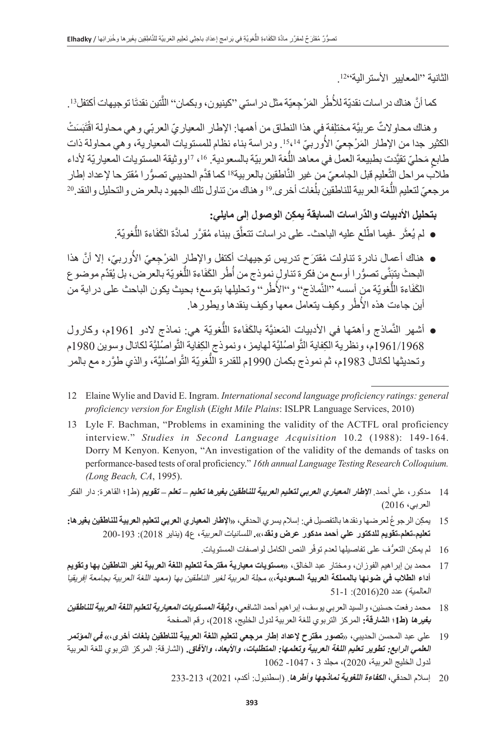الثانية ''المعايير الأسترالية''12'.

كما أنَّ هناك در اسات نقديّة للأطُر المَرْجِعيّة مثل در استي ''كينيون، وبكمان'' اللَّتين نقدتَا توجيهات أكتفل<sup>13</sup>. ُ

و هناك محاو لاتٌ عربيَّة مختلِفة في هذا النطاق من أهمها: الإطار المعباريّ العربّي و هي محاولة اقْتَبَسَتْ الكثير جدا من الإطار المَرْجِعيّ الأوربيّ <sup>15</sup>41. ودراسة بناء نظام للمستويات المعيارية، وهي محاولة ذات اً<br>ا َ طابعٍ مَحليّ تقيَّدت بطبيعة العمل في معاهد اللّغة العربيّة بالسعودية. 1<sup>6</sup>، <sup>17</sup>ووثيقة المستويات المعياريّة لأداء عليم قبل الجامعيّ من غير النّاطقين بالعربية 18 كما قدَّم الحديبي تصوُّر ا مُقترحا لإعداد إطار طلاب مر احل التعليم قبل الجامعيّ من غير الناطقين بالعربية الكما قدّم الحديبي تصوّر ا مُقترحا لإعداد إطار<br>مرجعيّ لتعليم اللُّغة العربية للناطقين بلُغات أخرى ِ اكو هناك من تناول تلك الجهود بالعرض و التحليل و النقد ِ 2

**ِّ بتحليل األدبيات والد ِ راسات السابقة يمكن الوصول إلى مايلي:**

- لم يُعثّر -فيما اطّلع عليه الباحث- على دراسات تتعلّق ببناء مُقرَّر لمادَّة الكَفَاءة اللُّغويّة. َّ
- ا<br>ا ● هناك أعمال نادرة تناولت مُقترَح تدريس توجيهات أكتفل والإطارٍ المَرْجِعيّ الأوربيّ، إلا أنّ هذا البحثَ يتبَنَّى تصوُّر ا أوسع من فكرة تناولٍ نموذج من أُطُر الكَفَاءة اللَّغويّة بالعرض، بل يُقدِّم موضوع الكَفَاءة اللُّغويّة من أسسه ''النَّماذج'' و''الأطُر'' وتحليلها بتوسع؛ بحيث يكون الباحث على در اية من أين جاءت هذه الأطُر وكيف يتعامل معها وكيف ينقدها ويطور ها.
- أشهر النَّماذج وأهمّها في الأدبيات المَعنيَّة بالكَفَاءة اللَّغويّة هي: نِماذج لادو 1961م، وكارول 1961/1968م، ونظرية الكِفاية التّواصُليَّة لمهايمز ، ونموذج الكِفاية التّواصُليَّة لكانال وسوين 1980م وتحديثها لكانال 1983م، ثم نموذج بكمان 1990م للقدرة اللَّغويّة النَّواصُليَّة، والذي طوَّره مع بالمر
- 12 Elaine Wylie and David E. Ingram. *International second language proficiency ratings: general proficiency version for English* (*Eight Mile Plains*: ISLPR Language Services, 2010)
- 13 Lyle F. Bachman, "Problems in examining the validity of the ACTFL oral proficiency interview." *Studies in Second Language Acquisition* 10.2 (1988): 149-164. Dorry M Kenyon. Kenyon, "An investigation of the validity of the demands of tasks on performance-based tests of oral proficiency." *16th annual Language Testing Research Colloquium. (Long Beach, CA*, 1995).
- 14 مدكور، علي أحمد. **اإلطار المعياري العربي لتعليم العربية للناطقين بغيرها تعليم تعلم تقويم** )ط1؛ القاهرة: دار الفكر العربي، 2016(
- 15 ِ يمك ُ ن الرجوع لعرضها ونقدها بالتفصيل في: إسالم يسري الحدقي، **»اإلطار المعياري العربي لتعليم العربية للناطقين بغيرها: تعليم-تعلم-تقويم للدكتور علي أحمد مدكور عرض ونقد،«.** اللسانيات العربية، ع4 )يناير 2018(: 200-193
	- 16 ٪ لم يمكن التعرُّف على تفاصيلها لعدم توفّر النص الكامل لواصفات المستويات.
- 17 محمد بن إبراهيم الفوزان، ومختار عبد الخالق، **»مستويات معيارية مقترحة لتعليم اللغة العربية لغير الناطقين بها وتقويم أداء الطالب في ضوئها بالمملكة العربية السعودية**،« مجلة العربية لغير الناطقين بها )معهد اللغة العربية بجامعة إفريقيا العالمية) عدد 2016(2016): 1-51
- 18 محمد رفعت حسنين، والسيد العربي يوسف، إبراهيم أحمد الشافعي، **وثيقة المستويات المعيارية لتعليم اللغة العربية للناطقين بغيرها )ط1؛ الشارقة:** المركز التربوي للغة العربية لدول الخليج، 2018(، رقم الصفحة
- 19 علي عبد المحسن الحديبي، »**تصور مقترح إلعداد إطار مرجعي لتعليم اللغة العربية للناطقين بلغات أخرى،« في المؤتمر العلمي الرابع: تطوير تعليم اللغة العربية وتعلمها: المتطلبات، واألبعاد، واآلفاق.** )الشارقة: المركز التربوي للغة العربية لدول الخليج العربية، 2020(، مجلد 3 ، -1047 1062
	- 20 إسالم الحدقي، **الكفاءة اللغوية نماذجها وأطرها**. )إسطنبول: أكدم، 2021(، 233-213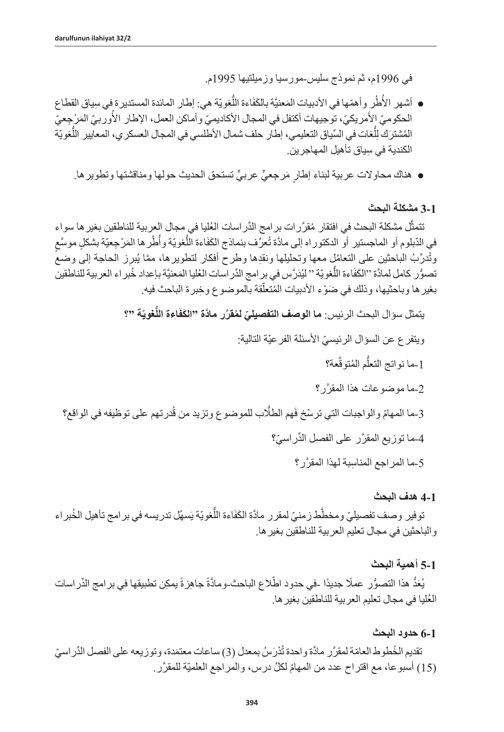في 1996م، ثم نموذج سليس-مورسيا وزميلتيها 1995م.

- أشهر الأطُرِ وأهمّها في الأدبيات المَعنيَّة بالكَفَاءة اللَّغويّة هي: إطار المائدة المستدير ة في سِياق القطاع ؘ<br>ا ُالحكوميّ الأمريكيّ، توجيهات أكتفل في المجال الأكاديميّ وأماكن العمل، الإطار الأوربيّ المَرْجِعيّ ֖֖֖֖֖֖֖֖֧֚֚֚֚֚֚֚֚֚֚֚֚֚֚֚֚֚֚֚֚֚֚֚֚֚֚֚֝<u>֟</u> المُشترَك لِلّغات في السِّياق التعليمي، إطار حلف شمال الأطلسي في المجال العسكري، المعايير اللّغويّة  $\frac{1}{2}$ ِ الكندية في سياق تأهيل المهاجرين.
	- هناك محاولات عربية لبناء إطار مَرجعيٍّ عربيٍّ تستحق الحديث حولها ومناقشتها وتطويرها.

### **3-1 مشكلة البحث**

َّتتمثل مشكلة البحث في افتقار مُقرَّر ات بر امج الدِّر اسات العُليا في مجال العربية للناطقين بغير ها سواء **∣** ُّ أ في الدّبلوم أو الماجستير أو الدكتوراه إلى مادّة تُعرّف بنماذج الكَفَاءة اللُّغويّة وأُطُر ها المَرْجِعيّة بشكلٍ موسَّعٍ وتُدرِّبُ الباحثينِ على التعامُلِ معها وتحليلها ونقدِها وطرح أفكار لتطويرها، ممَّا يُبرِز الحاجة إلى وضع تصوُّر كامل لمادَّة ''الكَفَاءة اللَّغويّة '' ليُدَرَّس في برِ امج الدِّر اسات العُليا المَعنيَّة بإعداد خُبر اء العربية للناطقين ֖֖֚֚֚֡֝֬֝֝֝֝<br>֧֖֖֖֖֧֖֧֧֪֪֪֪֪֪֪֪֪֪֪֪֪֪֪֪֪֪֪ׅ֦֖֚֚֚֚֚֚֚֚֚֚֚֚֚֚֚֚֚֚֚֝֝֝֝֓֞֟֓֞֟֓֞֟֓֞֝֟֓ بغير ها وباحثيها، وذلك في ضَوْء الادبيات المُتعلّقة بالموضوع وخِبرة الباحث فيه.

**ّة "؟ ُّغوي َاءة الل** يتمثل سؤال البحث الرئيس: **ما ّ الوصف التفصيلي ُ لم َّقر َّ ر ماد َ ة "الكف** ّ ويتفرع عن السؤال الرئيسي األسئلة الفرعيّة التالية: َّعة؟ ُّ ُ م المتوق -1ما نواتج التعل 2 َّ -ما موضوعات هذا المقرر؟ ُدرتهم على توظيفه في الواقع؟ َهم الطُّلب للموضوع وتزيد من ق 3 ّ -ما المهام ّ والواجبات التي ترسخ ف 4 َّ -ما توزيع المقر ِّ ر على الفصل الد ّ راسي؟ 5 ِ -ما المراجع المناس َّ بة لهذا المقرر؟

#### **4-1 هدف البحث**

توفير وصف تفصيليّ ومخطّط زمنيّ لمقرر مادَّة الكَفَاءة اللُّغويّة يَسهُلْ تدريسه في برامج تأهيل الخُبر اء َّوالباحثين في مجال تعليم العربية للناطقين بغيرها.

#### **5-1 أهمية البحث**

يُعَدُّ هذا التصوُّر عملًا جديدًا -في حدود اطّلاع الباحث-ومادَّةً جاهِزةً يمكِن تطبيقها في بر امج الدِّر اسات ُ العليا في مجال تعليم العربية للناطقين بغيرها.

#### **6-1 حدود البحث**

تقديم الخُطوط العامّة لمقرَّر مادَّة واحدة تُدْرَسُ بمعدل (3) ساعات معتمَدة، وتوزيعه على الفصل الدِّراسيّ )15 ّ ( أسبوعا، مع اقتراح عدد من المهام ِّ لكل درس، والمراجع العلميّ َّ ة للمقرر.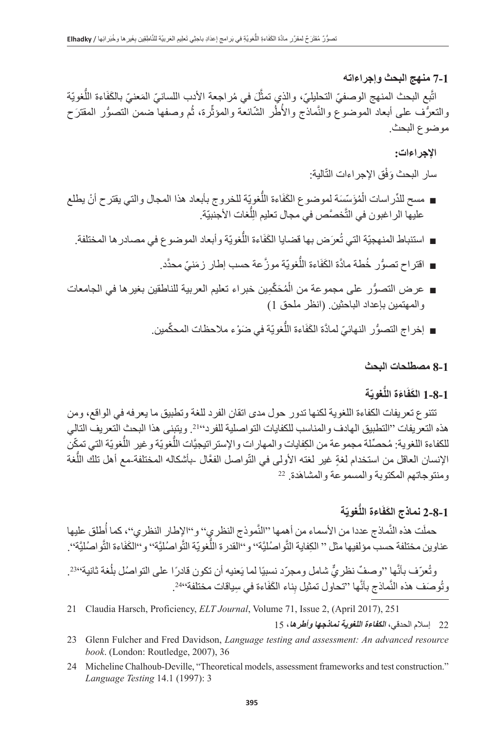**7-1 منهج البحث وإجراءاته**

اتَّبِع البحث المنهج الوصفيّ التحلِيليّ، والذي تمثَّل في مُراجعة الأدب اللسانيّ المَعنيّ بالكَفَاءة اللَّغويّة َّوالنعرُف على أبعاد الموضوع والنَّماذج والأطُر الشَّائعة والمؤثِّرة، ثُم وصفها ضمن النصوُّر المقترَح موضوع البحث.

**اإلجراءات:**

سار البحث وَفْق الإجراءات التّالية:

- مسح للدِّراسات الْمُؤَسِّسَة لموضوع الكَفَاءة اللُّغويّة للخروج بأبعاد هذا المجال والتي يقترح أنْ يطلع ا<br>ا عليها الر اغبون في التَّخصَّص في مجال تعليم الِلِّغات الأجنبيّة. ِل
	- استنباط المنهجيّة التي تُعرَض بها قضايا الكَفَاءة اللُّغويّة وأبعاد الموضوع في مصادر ها المختلفة.
		- اقتراح تصوُّر خُطة مادَّة الكَفَاءة اللَّغويّة موزَّعة حسب إطار زمَنيّ محدَّد.
- ا<br>ا ■ عرض التصوُّر على مجموعة من الْمُحَكْمِين خبراء تعليم العربية للناطقين بغيرها في الجامعات والمهتمين بإعداد الباحثين. (انظر ملحق 1)
	- إخراج التصوُّر النهائيّ لمادَّة الكَفَاءة اللَّغويّة في ضَوْء ملاحظات المحكِّمين.

### **8-1 مصطلحات البحث**

## **ّة ُّغوي َ َ اءة الل َ 1-8-1 الكف**

تتنوع تعريفات الكفاءة اللغوية لكنها تدور حول مدى اتقان الفرد للغة وتطبيق ما يعرفه في الواقع، ومن هذه التعريفات "التطبيق الهادف والمناسب للكفايات التواصلية للفرد".21 ويتبنى هذا البحث التعريف التالي للكفاءة اللغوية: مُحصِّلة مجموعة من الكِفايات والمهارات والإستراتيجيَّات اللُّغويّة وغير اللُّغويّة التي تمكّن الإنسان العاقل من استخدام لغةٍ غير لغته الأولى في التّواصل الفعَّال ـبأشكاله المختلفةـمع أهل تلك اللّغة<br>ومنتوجاتهم المكتوبة والمسموعة والمشاهَدة<sub>.</sub> 22 ومنتوجاتهم المكتوبة والمسموعة والمشاه

# **ّة ُّغوي َاءة الل َ 2-8-1 نماذج الكف**

حملَت هذه النَّماذج عددا من الأسماء من أهمها ''النَّموذج النظري'' و''الإطار النظري''، كما أُطلق عليها عناوين مختلفة حسب مؤلفيها مثل '' الكِفاية التَّواصُليَّة'' و''القدرة اللَّغويّة التَّواصُليَّة'' و''الكَفَاءة التَّواصُليَّة''.

وتُعرّف بأنّها ''وصفٌ نظريٌّ شامل ومجرّد نسبيًا لما يَعنيه أن تكون قادرًا على التواصُل بلُغة ثانية''23. وتُوصَف هذه النَّماذج بأنَّها ''تحاول تمثيل بِناء الكَفَاءة في سِياقات مختلفة''24°.

21 Claudia Harsch, Proficiency, *ELT Journal*, Volume 71, Issue 2, (April 2017), 251

22 إسالم الحدقي، **الكفاءة اللغوية نماذجها وأطرها**، 15

- 23 Glenn Fulcher and Fred Davidson, *Language testing and assessment: An advanced resource book*. (London: Routledge, 2007), 36
- 24 Micheline Chalhoub-Deville, "Theoretical models, assessment frameworks and test construction." *Language Testing* 14.1 (1997): 3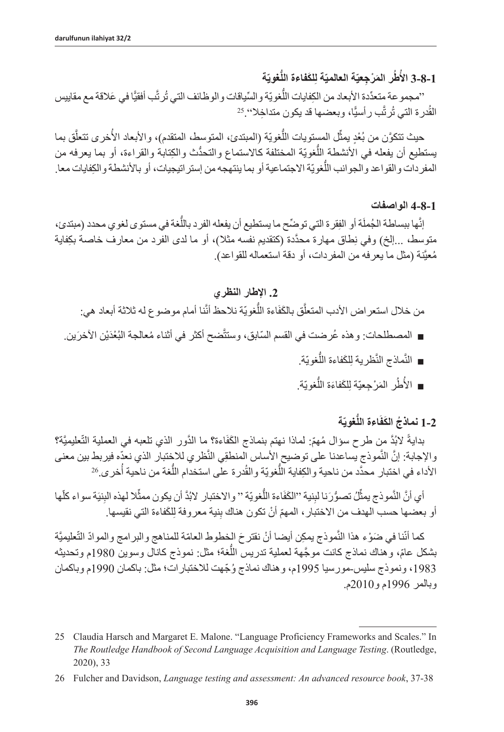**1-8-3 الأطُر المَرْجِعيّة العالميّة لِلكَفاءة اللّغويّة ُ**

غويّة والسِّياقات والوظائف التي تُرتَّب أفقيًّا في عَلاقة مع مقابيس ''مجموعة متعدَّدة الأبعاد من الكفايات اللغويّة والسِّياة<br>القُدرة التي تُرتَّب رأسيًّا، وبعضها قد يكون متداخِلا'' 25

حيث تتكوَّن من بُعْدٍ يمثِّل المستويات اللَّغويّة (المبتدئ، المتوسط، المتقدم)، والأبعاد الأخرى تتعلَّق بما يستطيع أن يفعله في الأنشطة اللُّغويّة المختلفة كالاستماع والتحدُّث والكِتابة والقراءة، أو بما يعرفه من المفردات والقواعد والجوانب اللّغويّة الاجتماعية أو بما ينتهجه من إستراتيجيات، أو بالأنشطة والكِفايات معا.

#### **4-8-1 الواصفات**

إنَّها ببساطة الجُملَة أو الفِقرة التي توضِّح ما يستطيع أن يفعله الفرد باللَّغة في مستوى لغوي محدد (مبتدئ، متوسط، …إلخ) وفي نِطاق مهارة محدّدة (كَتَقْديم نفسه مثلاً)، أو ما لدى الفرد من معارف خاصة بكِفاية مُعيَّنة (مثل ما يعرفه من المفردات، أو دقة استعماله للقواعد).

## **.2 اإلطار النظري**

من خلال استعراض الأدب المتعلّق بالكَفَاءة اللّغويّة نلاحظ أنّنا أمام موضوع له ثلاثة أبعاد هي:

- المصطلحات: وهذه عُرضت في القسم السّابق، وستتّضح أكثر في أثناء مُعالجة البُعْدَيْن الأخرَين.
	- النَّماذج النَّظرية لِلكَفاءة اللَّغويّة.<br>■
	- الأطُر المَرْجِعيّة لِلكَفاءَة اللَّغويّة. ُ

# **ّة ُّغوي َاءة الل ُ 1-2 نماذج َ الكف**

بدايةً لابُدَّ من طرح سؤال مُهمّ: لماذا نهتم بنماذج الكَفَاءة؟ ما الدَّور الذي تلعبه في العملية التّعليميَّة؟ والإجابة: إنَّ النّموذج يساعدنا على توضيح الأساس المنطقِي النّظري للاختبار الذي نعدّه فيربط بين معنى الأداء في اختبار محدَّد من ناحية والكِفاية اللَّغويّة والقُدرة على استخدام اللَّغة من ناحية أُخرى 26

أي أنَّ النَّموذج يمثِّلُ تصوُّرَنا لبِنية ''الكَفَاءة اللَّغويّة '' والاختبار لابُدَّ أن يكون ممثَّلا لهذه البِنيَة سواء كلَّها أو بعضها حسب الهدف من الاختبار، المهمّ أنْ تكون هناك بِنية معروفة لِلْكَفاءة التي نقيسها.

كما أنّنا في ضَوْء هذا النَّموذج يمكِن أيضا أنْ نقتر حَ الخطوط العامّة للمناهج والبرامج والموادّ التّعليميَّة بشكل عامّ، وهناك نماذج كانت موجَّهة لعملية تدريس اللُّغة؛ مثل: نموذج كانال وسوين 1980م وتحديثه ،1983 ونموذج سليس-مورسيا 1995 ُ م، وهناك نماذج و ّجهت لالختبارات؛ مثل: باكمان 1990م وباكمان وبالمر 1996م و2010م.

<sup>25</sup> Claudia Harsch and Margaret E. Malone. "Language Proficiency Frameworks and Scales." In *The Routledge Handbook of Second Language Acquisition and Language Testing*. (Routledge, 2020), 33

<sup>26</sup> Fulcher and Davidson, *Language testing and assessment: An advanced resource book*, 37-38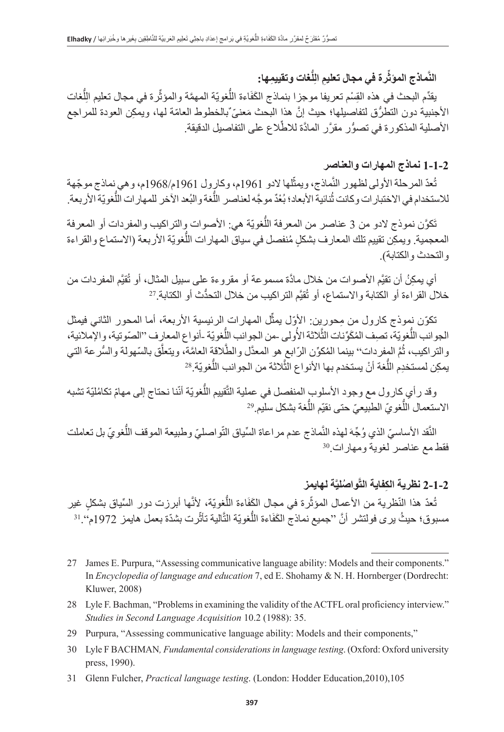#### النُّمـاذج المؤثرة ف*ي* مجال تعليمِ اللُّغات وتقييمِها: **ِّ**

بقدِّم البحث في هذه القِسْم تعريفا موجزا بنماذج الكَفَاءة اللَّغويّة المهمَّة والمؤثَّرة في مجال تعليم الِلَّغات  $\overline{1}$ الأجنبية دون التطرُّق لتفاصيلها؛ حيث إنَّ هذا البحث مَعنىّ ٌبالخطوط العامّة لمها، ويمكن العودة للمراجع الأصلية المذكورة في تصوُّر مقرَّر المادَّة للاطِّلاع على التفاصيل الدقيقة.

## **1-1-2 نماذج المهارات والعناصر**

تُعدّ المرحلة الأولى لظهور النَّماذج، ويمثِّلها لادو 1961م، وكارول 1961م/1968م، وهي نماذج موجّهة للاستخدام في الاختبار ات وكانت ثُنائية الأبعاد؛ بُعْدٌ موجَّه لعناصر اللَّغة والبُعد الأخر للمهار ات اللَّغويّة الأربعة

تَكوَّن نموذج لادو من 3 عناصر من المعرفة اللَّغويّة هي: الأصوات وِالتراكيب والمفردات أو المعرفة المعجمية<sub>.</sub> ويمكِن تقييم تلك المعارف بشكلٍ مُنفصل في سياق المهارات اللّغويّة الأربعة (الاستماع والقراءة و التحدث و الكتابة)

أي يمكِنُ أن تقيَّم الأصوات من خلال مادَّة مسموعة أو مقروءة على سبيل المثال، أو تُقيَّم المفردات من أي يمكِنُ أن تقيَّم الأصوات من خلال مادّة مسموعة أو مقروءة على سبيل المثال، أو تَّ<br>خلال القراءة أو الكتابة والاستماع، أو تُقيَّم التراكيب من خلال التحدُّث أو الكتابة <sup>27</sup>

تكوّن نموذج كارول من مِحوريِن: الأوّل يمثّل المهارات الرئيسية الأربعة، أما المحور الثاني فيمثل الجوانب اللَّغوِيّة، تصف المُكَوِّنات الثَّلاثة الأُولى -من الجوانب اللَّغويّة -أنواع المعارِف ''الصّوتية، والإملائية، مَّ المفردات'' بينما المُكوَّن الرّابع هو المعدَّل والطَّلاقة العامَّة، ويتعلَّق بالسّهولة والسُّر عة التي َُّ والتراكيب، ثمَّ المفردات'' بينما المُكوِّن الرّابع هو المعدل والطلاقة العامَّة.<br>يمكِن لمستخدِم اللُّغة أنْ يستخدم بها الأنواع الثَّلاثة من الجوانب اللُّغويّة <sup>28</sup>

قييم اللَّغويّة أنّنا نحتاج إلى مهامّ تكامُليّة تشبه وقد ر أي كارول مع وجود الأسلوب المنفصل في عملية الذ<br>الاستعمال اللُّغويّ الطبيعيّ حتى نقيّم اللُّغة بشكل سليم <sup>29</sup>

قد الأساسيّ الذي وُجَّهَ لهذه النَّماذج عدم مر اعاة السِّياق النَّواصليّ وطبيعة الموقف اللُّغويّ بل تعاملت فقط مع عناصر لغوية ومهارات<sup>30</sup>

## **َّة لهايمز َّ ُ واصلي ِ 2-1-2 نظرية الكفاية الت**

مدّ هذا النّظرية من الأعمال المؤثّرة في مجال الكَفَاءة اللُّغويّة، لأنَّها أبرزت دور السِّياق بشكلٍ غير تَّعدَ هذا النَّظرية من الأعمال المؤثرة في مجال الكَفاءة اللغويّة، لأنَّها أبرزت دور السَّياق بشكلٍ غير<br>مسبوق؛ حيثُ يرى فولتشر أنَّ ''جميع نماذج الكَفَاءة اللُّغويّة النَّالية تأثَّرت بشدّة بعمل هايمز 1972م''. ا<sup>3</sup>

- 28 Lyle F. Bachman, "Problems in examining the validity of the ACTFL oral proficiency interview." *Studies in Second Language Acquisition* 10.2 (1988): 35.
- 29 Purpura, "Assessing communicative language ability: Models and their components,"
- 30 Lyle F BACHMAN*, Fundamental considerations in language testing*. (Oxford: Oxford university press, 1990).
- 31 Glenn Fulcher, *Practical language testing*. (London: Hodder Education,2010),105

<sup>27</sup> James E. Purpura, "Assessing communicative language ability: Models and their components." In *Encyclopedia of language and education* 7, ed E. Shohamy & N. H. Hornberger (Dordrecht: Kluwer, 2008)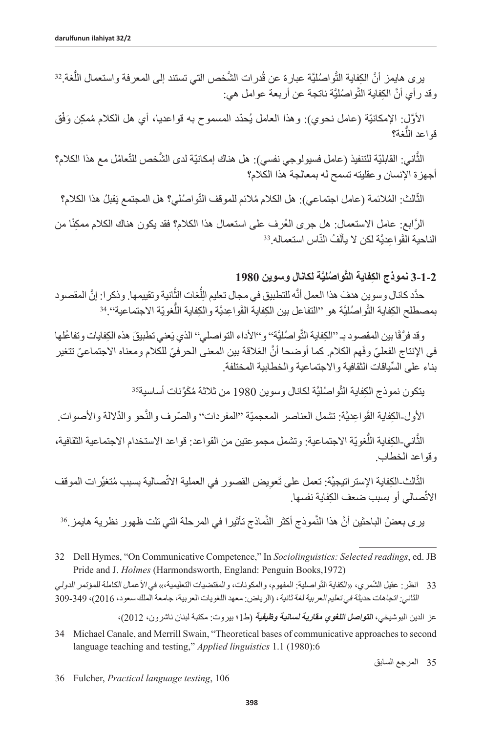يرى هايمز أنَّ الكِفاية التَّواصُليَّة عبارة عن قُدرات الشَّخص التي تستند إلى المعرفة واستعمال اللَّغة <sup>32</sup> وقد رأي أنَّ الكِفاية النَّواصُليَّة ناتجة عن أربعة عوامل هي:

الأوَّل: الإمكانيّة (عامل نحوي): وهذا العامل يُحدّد المسموح به قواعديا، أي هل الكلام مُمكِن وَفْق ُّغة؟ قواعد الل

֖֖֖֖֖֖֧֚֚֚֚֚֚֚֚֚֚֚֚֚֚֚֚֚֚֚֚֚֡<u>֟</u> الثّاني: القابليّة للتنفيذ (عامل فسيولوجي نفسي): هل هناك إمكانيّة لدى الشَّخص للنّعامُل مع هذا الكلام؟ أجهزة اإلنسان وعقليته تسمح له بمعالجة هذا الكالم؟

الثّالث: المُلائمة (عامل اجتماعي): هل الكلام مُلائم للموقف التّواصُلي؟ هل المجتمع يَقبلُ هذا الكلام؟ ׇׇ֖֦֧֚֞֟֟֓֝֬<u>֓</u>

الرَّابع: عامل الاستعمال: هل جرى العُرف على استعمال هذا الكلام؟ فقد يكون هناك الكلام ممكِنًا من<br>حية القَواعِديَّة لكن لا يألَفُ النَّاس استعماله <sup>33</sup> الناحية القَواعِديَّة لكن لا يألَفُ النَّ

# **َّة لكانال وسوين 1980 َّ ُ واصلي ِ 3-1-2 نموذج الكفاية الت**

حدَّد كانال وسوين هدفَ هذا العمل أنَّه للتطبيق في مجال تعليم اللِّغات الثِّانية وتقييمها. وذكر ا: إنَّ المقصود ِل بمصطلح الكِفاية التَّواصُليَّة هو ''التفاعل بين الكِفاية القَواعِديَّة والكِفاية اللَّغويّة الاجتماعية'' <sup>34</sup>

وقد فرَّقًا بين المقصود بـ ''الكِفاية التّواصُليَّة'' و''الأداء التواصلي'' الذي يَعني تطبيقَ هذه الكِفايات وتفاعُلها في الإنتاج الفعليّ وفَهم الكلام. كما أوضحا أنّ العَلاقة بين المعنى الحرفيّ للكلام ومعناه الاجتماعيّ تتغير ِّ بناء على السياقات الثقافية واالجتماعية والخطابية المختلفة.

يتكون نموذج الكِفاية التّواصُليَّة لكانال وسوين 1980 من ثلاثة مُكَوِّنات أساسيةَ<sup>35</sup>

الأول الكِفاية القَواعِديَّة: تشمل العناصر المعجميّة ''المفردات'' والصّرف والنّحو والدِّلالة والأصوات ِ

الثّاني-الكِفاية اللّغويّة الاجتماعية: وتشمل مجموعتين من القواعد: قواعد الاستخدام الاجتماعية الثقافية، َّوقواعد الخطاب.

الثَّالث الكِفاية الإستراتيجيَّة: تعمل على تَعوِيض القصور في العملية الاتَّصـالية بسبب مُتغيِّرات الموقف ֧<u>֚</u>֚֓ الاتَّصـالي أو بسبب ضعف الكِفاية نفسها.

ير ى بعضُ الباحثين أنَّ هذا النَّموذج أكثر النَّماذج تأثير ا في المر حلة التي تلت ظهور نظرية هايمز ِ<sup>36</sup>

عز الدين البوشيخي، **التواصل اللغوي مقاربة لسانية وظيفية** )ط1؛ بيروت: مكتبة لبنان ناشرون، 2012(،

35 المرجع السابق

36 Fulcher, *Practical language testing*, 106

<sup>32</sup> Dell Hymes, "On Communicative Competence," In *Sociolinguistics: Selected readings*, ed. JB Pride and J. *Holmes* (Harmondsworth, England: Penguin Books,1972)

<sup>33</sup> انظر : عقيل الشّمري، «الكفاية النّواصلية: المفهوم، والمكونات، والمقتضيات التعليمية،» في الأعمال الكاملة للمؤتمر الدولي الثاني: اتجاهات حديثة في تعليم العربية لغة ثانية، )الرياض: معهد اللغويات العربية، جامعة الملك سعود، 2016(، 309-349

<sup>34</sup> Michael Canale, and Merrill Swain, "Theoretical bases of communicative approaches to second language teaching and testing," *Applied linguistics* 1.1 (1980):6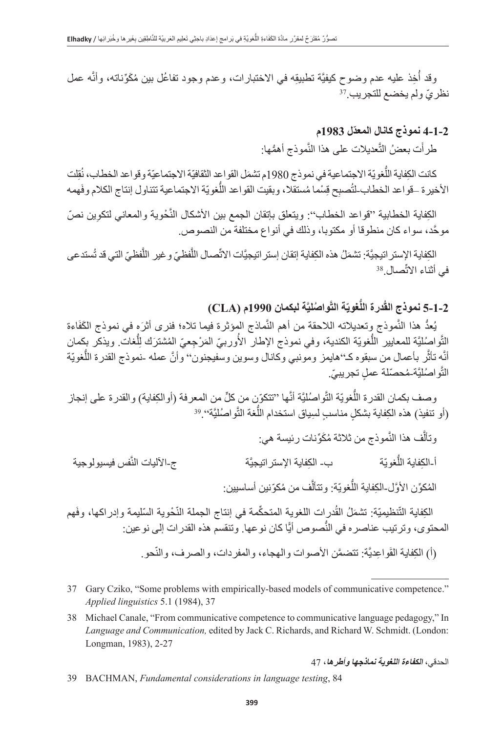خِذ عليه عدم وضوح كيفيَّة تطبيقِه في الاختبارات، وعدم وجود تفاعُل بين مُكَوِّناته، وأنَّه عمل ُنظريّ ولم يخضع للتجريب <sup>37</sup>

### **ّ 4-1-2 نموذج كانال المعدل 1983م**

طرأت بعضُ التَّعديلات على هذا النَّموذج أهمُّها:

كانت الكِفاية اللّغويّة الاجتماعية في نموذج 1980م تشمَل القواعد الثقافيّة الاجتماعيّة وقواعد الخطاب، نُقِلت الأخيرة –قواعد الخطاب-لتُصبِح قِسْما مُستقلا، وبقيت القواعد اللُّغويّة الاجتماعية تتناول إنتاج الكلام وفَهمه

الكِفاية الخطابية ''قواعد الخطاب'': ويتعلق بإتقان الجمع بين الأشكال النّحوية والمعاني لتكوين نصّ َّ موحد، سواء كان منطوقا أو مكتوبا، وذلك في أنواع مختلفة من النصوص.

الكِفاية الإستر اتيجيَّة: تشمَلُ هذه الكِفاية إتقان إستر اتيجيَّات الانَّصـال اللَّفظـيّ و غير اللَّفظـيّ التي قد تُستدعى<br>أثناء الاتَّصـال <sup>38</sup> ََّّفي أثناء االت

# **َّة لبكمان 1990م )CLA) َّ ُ واصلي ّة الت ُّغوي ُدرة الل 5-1-2 نموذج الق**

يُعدُ هذا النَّموذج وتعديلاته اللاحقة من أهم النَّماذج المؤثرة فيما تلاه؛ فنرى أثرَه في نموذج الكَفَاءة الثَّواصُليَّة للمعايير اللَّغويّة الكندية، وفي نموذج الإطار الأوربيّ المَرْجِعيّ المُشترَك لِلَّغات ويذكر بِكمان  $\frac{1}{2}$ ُأنَّه تأثّر بأعمال من سبقوه كـ''هايمز ومونبي وكانال وسوين وسفيجنون'' وأنَّ عمله ـنموذج القدرة اللَّغويّة النَّواصُليَّة-مُحصَّلة عملٍ تجريبيِّ.

مويّة النُّواصُليَّة أنَّها ''تتكوّن من كلٍّ من المعرفة (أوالكِفاية) والقدرة على إنجاز وصف بكمان القدرة اللغويّة النّواصُليّة أنّها ''تتكوّن من كلٍّ من المع<br>(أو تنفيذ) هذه الكِفاية بشكلٍ مناسبٍ لسِياق استخدام اللُّغة التَّواصُليَّةَ'' <sup>39</sup>.

وتألّف هذا النَّموذج من ثلاثة مُكَوِّنات رئيسة هي: ج-الآليات النَّفس فيسيو لو جية ب- الكفاية الإستر اتيجيَّة أ-الكفاية اللُّغو يّة َّالْمُكوِّن الأوَّل الكِفاية اللَّغويّة: وتتألَّف من مُكوّنين أساسيين:

الكِفاية التّنظيميّة: تشمَلُ القُدرِات اللغوية المتحكِّمة في إنتاج الجملة النّخوية السّليمة وإدراكها، وفَهم المحتوى، وترتيب عناصره في النَّصوص أيًّا كان نوعها. وتنقسم هذه القدرات إلى نوعين:

(أ) الكِفاية القَواعِديَّة: تتضمَّن الأصوات والهجاء، والمفردات، والصرف، والنّحو ِ

- 37 Gary Cziko, "Some problems with empirically-based models of communicative competence." *Applied linguistics* 5.1 (1984), 37
- 38 Michael Canale, "From communicative competence to communicative language pedagogy," In *Language and Communication,* edited by Jack C. Richards, and Richard W. Schmidt. (London: Longman, 1983), 2-27

الحدقي، **الكفاءة اللغوية نماذجها وأطرها**، 47

39 BACHMAN, *Fundamental considerations in language testing*, 84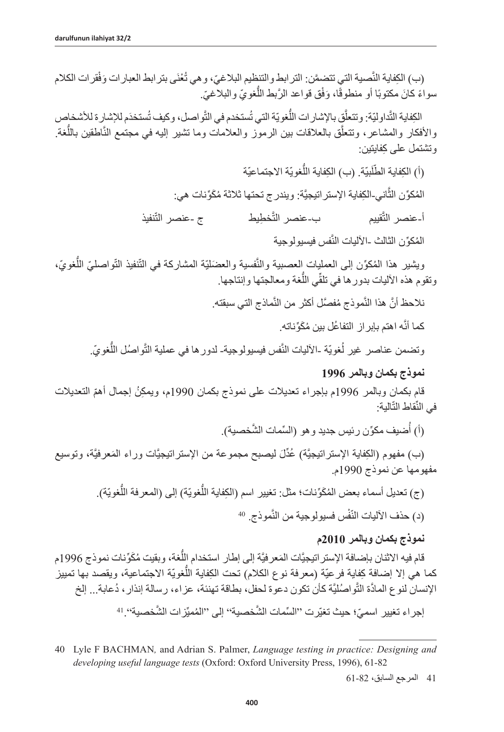(ب) الكِفاية النِّصية التي تتضمَّن: الترابط والتنظيم البلاغيّ، و هي تُعْنَى بترابط العبار ات وَفْقر ات الكلام سواءً كانَ مكتوبًا أو منطوقًا، وَفْق قواعد الرَّبط اللَّغويّ والبلاغيّ. ً

الكِفاية التَّداوليّة: وتتعلّقِ بالإشارات اللّغويّة التي تُستخدم في التّواصل، وكيف تُستخدَم للإشارة للأشخاص والأفكار والمشاعر، وتتعلَّق بالعلاقات بين الرموز والعلامات وما تشير إليه في مجتمع النَّاطقين باللُّغة<sub>.</sub> ِ وتشتمل على كفايتين:

> (أ) الكِفاية الطَّلَبيّة. (ب) الكِفاية اللَّغويّة الاجتماعيّة ׅ֖֧֖֖֖֖֚֚֚֚֡֡֡֡֡֓֓֓<br>֧ׅ֖֧֚֚֚֜<u>֚</u> َّالْمُكوِّن الثاني-الكِفاية الإستر اتيجيَّة: ويندرج تحتها ثلاثة مُكَوِّنات هي: خطِيط ج -عنصر التَّنفيذ ب-عنصر التَّخطبط أ-عنصر الت المُكوِّن الثالث ـالأليات النَّفس فيسيولوجية

ويثمير هذا المُكوّن إلى العمليات العصبية والنَّفسية والعضليّة المشاركة في النَّنفيذ النَّواصليّ اللُّغويّ، وتقوم هذه الأليات بدور ها في تلقِّي اللُّغة ومعالجتها وإنتاجها.

نلاحظ أنَّ هذا النَّموذج مُفصَّل أكثر من النَّماذج التي سبقته.

كما أنَّه اهتم بإبر از التفاعُل بين مُكَوِّناته.

وتضمن عناصر غير لُغويّة ـالأليات النَّفس فيسيولوجيةـ لدور ها في عملية التَّواصُل اللُّغويّ.

## **نموذج بكمان وبالمر 1996**

قام بكمان وبالمر 1996م بإجراء تعديلات على نموذج بكمان 1990م، ويمكِنُ إجمال أهمّ التعديلات في النِّقاط التَّالية:

> ُ(أ) أضيف مكوِّن رئيس جديد و هو (السِّمات الشَّخصية)<sub>.</sub>

(ب) مفهوم (الكِفاية الإستراتيجيَّة) عُدِّلَ ليصبح مجموعة من الإستراتيجيَّات وراء المَعرفيَّة، وتوسيع مفهومها عن نموذج 1990م.

> (ج) تعديل أسماء بعض المُكَوِّنات؛ مثل: تغيير اسم (الكِفاية اللَّغويّة) إلى (المعرفة اللَّغويّة). (د) حذف الآليات النّفْس فسيولوجية من النَّموذج. <sup>40</sup>

### **نموذج بكمان وبالمر 2010م**

ُّقام فيه الاثنان بإضافة الإستر اتيجيَّات المَعرفيَّة إلى إطار استخدام اللغة، وبقيت مُكَوِّنات نموذج 1996م كما هي إلا إضافة كِفاية فرعيّة (معرفة نوع الكلام) تحت الكِفاية اللُّغويّة الاجتماعية، ويقصد بها تمييز الإنسان لنوع المادَّة التَّواصُليَّة كأن تكون دعوة لحفل، بطاقة تهنئة، عزاء، رسالة إنذار ، دُعابة... إلخ

إجراء تغيير اسميّ؛ حيث تغيّرت ''السِّمات الشّخصية'' إلى ''المُميّزات الشّخصية''. <sup>41</sup>

41 المرجع السابق، 61-82

<sup>40</sup> Lyle F BACHMAN*,* and Adrian S. Palmer, *Language testing in practice: Designing and developing useful language tests* (Oxford: Oxford University Press, 1996), 61-82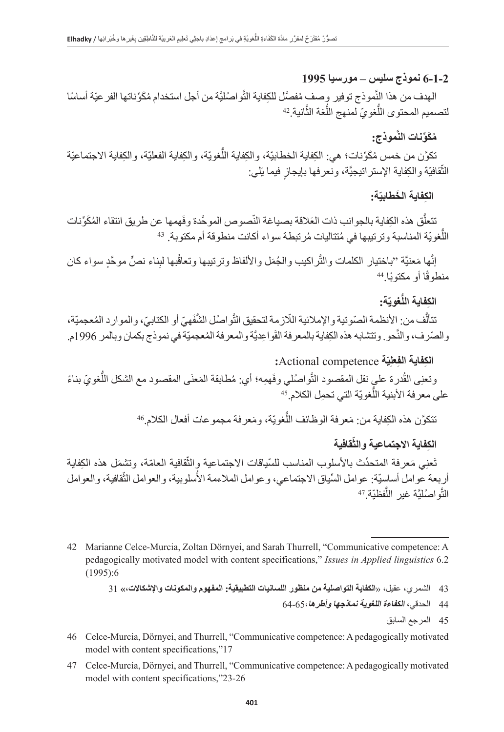## **6-1-2 نموذج سليس – مورسيا 1995**

موذج توفير وصفٍ مُفصَّل للكِفاية التَّواصُليَّة من أجل استخدام مُكَوِّناتها الفر عيّة أساسًا الهدف من هذا النموذج توفير وصف مُفصّل<br>لتصميم المحتوى اللُّغويّ لمنهج اللُّغة الثَّانية <sup>42</sup>

# **َّموذج: ُم َكِّونات الن**

تكوَّن من خمس مُكَوِّنات؛ هي: الكِفاية الخطابيّة، والكِفاية اللَّغويّة، والكِفاية الفعليّة، والكِفاية الاجتماعيّة النَّقافيّة والكِفاية الإستراتيجيَّة، ونعرفها بإيجازٍ فيما يَلي:

# الكِفاية الخطابيّة:

ق هذه الكِفاية بالجوانب ذات العَلاقة بصياغة النّصوص الموحّدة وفَهمها عن طريق انتقاء المُكَوِّنات َّتتعلّق هذه الكِفاية بالجوانب ذات العَلاقة بصياغة النصوص الموحّدة وفهمها ع<br>اللُّغويّة المناسبة وترتيبها في مُتتاليات مُرتبطة سواء أكانت منطوقة أم مكتوبة. <sup>43</sup>

ما مَعنيَّة ''باختيار الكلمات والثَّراكيب والجُمَل والألفاظ وترتيبها وتعاقُبها لبِناء نصٍّ موحَّدٍ سواء كان َّإنّها مَعنيّة ''باخت<sub>ا</sub><br>منطوقًا أو مكتوبًا ِ<sup>44</sup>

# الكِفاية الل**ُّغ**ويّة:

تتألّف من: الأنظمة الصّوتية والإملائية اللّازمة لتحقيق التَّواصُل الشُّفَهيّ أو الكتابيّ، والموارد المُعجميّة، والصّرف، والنّحو ِ وتتشابه هذه الكِفاية بالمعرفة القَواعِديَّة والمعرفة المُعجميّة في نموذج بكمان وبالمر 1996م.

## **:**Actional competence **ةّ ِي ِعل ِ الكفاية الف**

ى الْقُدرة علي نقل المقصود التَّواصُلي وفَهمِه؛ أي: مُطابقة المَعنَى المقصود مع الشكل اللُّغويّ بناءً وتعنِي القدرة على نقل المقصود التواصُلي .<br>على معرفة الأبنية اللُّغويّة التي تحمِل الكلام.<sup>45</sup>

نتكوَّن هذه الكِفاية من: مَعرفة الوظائف اللَّغويّة، ومَعرفة مجموعات أفعال الكلام.<sup>46</sup>

# الكِفاية الاجتماعية والثَّقافية

ّتُعنِي مَعرفة المتحدِّث بالأسلوب المناسب للسّياقات الاجتماعية وِالثقافية العامّة، وتشمّل هذه الكِفاية أربعة عوامل أساسيّة: عوامل السّياق الاجتماعي، وعوامل الملاءمة الأسلوبية، والعوامل الثّقافية، والعوامل<br>النَّواصُليَّة غير اللَّفظيّة <sup>47</sup> النَّواصُليَّة غير اللَّ

47 Celce-Murcia, Dörnyei, and Thurrell, "Communicative competence: A pedagogically motivated model with content specifications,"23-26

<sup>42</sup> Marianne Celce-Murcia, Zoltan Dörnyei, and Sarah Thurrell, "Communicative competence: A pedagogically motivated model with content specifications," *Issues in Applied linguistics* 6.2 (1995):6

<sup>43 -</sup> الشمر ي، عقيل، «**الكفاية التواصلية من منظور اللسانيات التطبيقية: المفهوم والمكونات والإشكالات،» [3** 

<sup>44</sup> الحدقي، **الكفاءة اللغوية نماذجها وأطرها**64-65،

<sup>45</sup> المرجع السابق

<sup>46</sup> Celce-Murcia, Dörnyei, and Thurrell, "Communicative competence: A pedagogically motivated model with content specifications,"17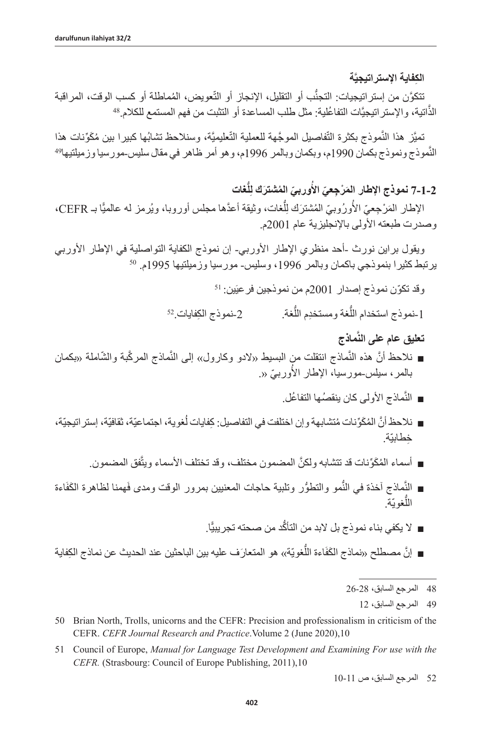**َّة ِ الكفاية اإلستراتيجي**

֖֖֖֖֖֧֚֚֚֚֚֚֚֚֚֚֚֚֚֚֚֚֚֚֚֚֚֚֚֡֝<u>֟</u> ب أو التقليل، الإنجاز أو التُّعويض، المُماطلة أو كسب الوقت، المراقبة تَتكوَّن من إستراتيجيات: التجنب او التقليل، الإنجاز او التعويض، المُماطلة او كسب<br>الذَّاتية، والإستراتيجيَّات التفاعُلية: مثل طلب المساعدة أو التثبت من فهم المستمع للكلام.<sup>48</sup>

موذج بكثرة التَّفاصيل الموجَّهة للعملية التَّعليميَّة، وسنلاحظ تشابُها كبيرا بين مُكَوِّنات هذا تميِّز هذا النموذج بكثرة التفاصيل الموجّهة للعملية التعليميَّة، وسنلاحظ تشابُها كبيرا بين مُكوِّنات هذا<br>النَّموذج ونموذج بكمان 1990م، وبكمان وبالمر 1996م، وهو أمر ظاهر في مقال سليس-مورسيا وزميلتيها<sup>49</sup>

> **ُّغات ِل ّ وربي ُ الم َشترك ل َ 7-1-2 نموذج اإلطار الم ْر ِج ّعي األ ُ**

الإطار المَرْجِعيّ الأورُوبيّ المُشترَك لِلُّغات، وثيقة أعدَّها مجلس أوروبـا، ويُرمز له عالميًّا بـ CEFR،  $\frac{1}{2}$ َُ وصدرت طبعته األولى باإلنجليزية عام 2001م.

ويقول براين نورث -أحد منظري الإطار الأوربي- إن نموذج الكفاية التواصلية في الإطار الأوربي<br>يرتبط كثيرا بنموذجي باكمان وبالمر 1996، وسليس- مورسيا وزميلتيها 1995م. <sup>50</sup>

وقد تكوّن نموذج إصدار 2001م من نموذجين فرعيَين: <sup>51</sup> 2-نموذج الكفايات.52 ُّ1 -نموذج استخدام اللغة ومستخدِم الل

- **َّماذج تعليق عام على الن**
- نلاحظ أنَّ هذه النَّماذج انتقلت من البسيط «لادو وكارول» إلى النَّماذج المركّبة والشَّاملة «بكمان ُبالمر، سيلس-مورسيا، الإطار الأوربيّ «<sub>.</sub>
	- النَّماذج الأولى كان ينقصُها التفاعُل.
- نلاحظ أنَّ المُكَوِّنات مُتشابهة وإن اختلفت في التفاصيل: كِفايات لُغوية، اجتماعيّة، ثقافيّة، إستر اتيجيّة، ِخطابيّة.
	- أسماء المُكَوِّنات قد تتشابه ولكنَّ المضمون مختلف، وقد تختلف الأسماء ويتَّفق المضمون ِ
- النِّماذج أخذة في النَّمو والتطوُّر وتلبية حاجات المعنيين بمرور الوقت ومدى فَهمنا لظاهرة الكَفَاءة اللَّغويّة.
	- لا يكفي بناء نموذج بل لابد من التأكّد من صحته تجريبيًّا.
- إنَّ مصطلح «نماذج الكَفَاءة اللَّغويّة»، هو المتعارَف عليه بين الباحثين عند الحديث عن نماذج الكِفاية
	- 48 المرجع السابق، 26-28
		- 49 المرجع السابق، 12

51 Council of Europe, *Manual for Language Test Development and Examining For use with the CEFR.* (Strasbourg: Council of Europe Publishing, 2011),10

52 المرجع السابق، ص 10-11

<sup>50</sup> Brian North, Trolls, unicorns and the CEFR: Precision and professionalism in criticism of the CEFR. *[CEFR Journal Research and Practice](https://cefrjapan.net/images/PDF/Newsletter/CEFRJournal-2-1_BNorth.pdf)*.Volume 2 (June 2020),10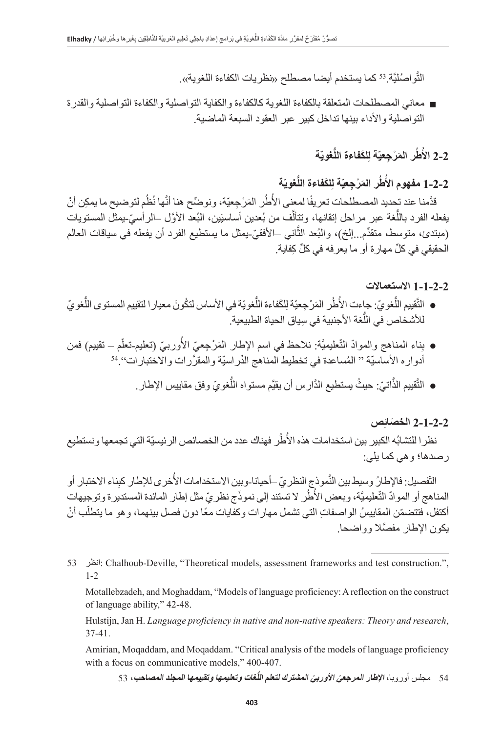التَّواصُليَّة.<sup>53</sup> كما يستخدم أيضـا مصطلح «نظريات الكفاءة اللغوية».

■ معاني المصطلحات المتعلقة بالكفاءة اللغوية كالكفاءة والكفاية التواصلية والكفاءة التواصلية والقدر ة التواصلية والأداء بينها تداخل كبير عبر العقود السبعة الماضية.

#### 2-2 الأَطُر المَرْجِعيّة لِلكَفاءة اللَّغويّة **ُ**

**ّة ُّغوي ِ َلكفاءة الل ّة ل َ ر الم ْر ِجعي ُط 1-2-2 مفهوم األ ُ**

ؚ<br>ۣ قدَّمنا عند تحديد المصطلحات تعريفًا لمعنى الأطُر المَرْجِعيّة، ونوضِّح هنا أنَّها نُظُم لتوضيح ما يمكِن أنْ ُيفعله الفرد باللُّغة عبر مراحل إتقانها، وتتألُّف من بُعدين أساسيَين، البُعد الأوَّل –الرأسيّ-يمثل المستويات ֖֖֖֖֖֖֖֖֖֚֚֚֚֚֚֚֚֚֚֚֚֚֚֝֝֝֝֝<u>֟</u> (مبتدئ، متوسط، متقدَّم لِلَّخ)، والبُعد الثاني –الأفقيّ بمثل ما يستطيع الفرد أن يفعله في سياقات العالم ِّ الحقيقي في كل ِّ مهارة أو ما يعرفه في كل ِ كفاية.

### **1-1-2-2 االستعماالت**

- التَّقِييم اللُّغويّ: جاءت الأطُر المَرْجِعيّة لِلكَفاءة اللُّغويّة في الأساس لتكُونَ معيار ا لتقييم المستوى اللُّغويّ ُُّللأشخاص في اللغة الأجنبية في سِياق الحياة الطبيعية.
- ناء المناهج والموادّ النّعليميَّة: نلاحظ في اسم الإطار المَرْجِعيّ الأوربيّ (تعليم-تعلّم تقييم) فمن ُأدواره الأساسيّة " المُساعدة في تخطيط المناهج الدِّراسيّة والمقرَّرات والاختبارات'' <sup>54</sup>
	- التَّقييم الذَّاتيّ: حيثُ يستطيع الدَّارِس أن يقيَّم مستواه اللَّغويّ وفق مقاييس الإطار ِ. َّ

# **ِص َ 2-1-2-2 الخصائ**

نظر ا للتشابُه الكبير بين استخدامات هذه الأطُر فهناك عدد من الخصائص الرئيسيّة التي تجمعها ونستطيع رصدها؛ وهي كما يلي:

التّفصيل: فالإطارُ وسيط بين النَّموذجِ النظريّ ـأحيانا-وبين الاستخدامات الأُخرى للإطار كبِناء الاختبار أو المناهج أو الموادّ التّعليميَّة، وبعض الأُطُر لا تستند إلى نموذَج نظريّ مثل إطار المائدة المستديرة وتوجيهات أكتفل، فتتضمّن المقاييسُ الواصفاتِ التي تشمل مهارات وكفايات معًا دون فصل بينهما، وهو ما يتطلّب أنْ َّ يكون اإلطار مفصال وواضحا.

53 انظر: Chalhoub-Deville, "Theoretical models, assessment frameworks and test construction.", 1-2

Motallebzadeh, and Moghaddam, "Models of language proficiency: A reflection on the construct of language ability," 42-48.

Hulstijn, Jan H. *Language proficiency in native and non-native speakers: Theory and research*, 37-41.

Amirian, Moqaddam, and Moqaddam. "Critical analysis of the models of language proficiency with a focus on communicative models," 400-407.

54 مجلس أوروبا، **الإطار المرجعيّ الأوربيّ المشترك لتعلم اللَّغات وتعليمها وتقييمها المجلد المصاحب، 53**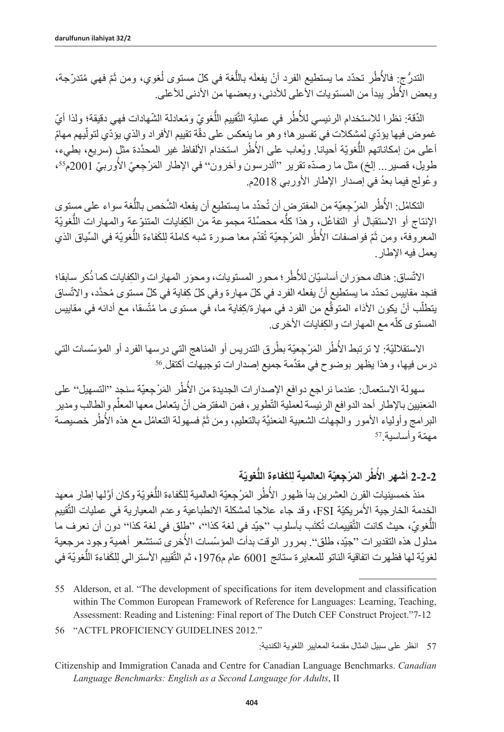التدرُّج: فِالأُطُر تحدّد ما يستطيع الفرد أنْ يفعلَه باللَّغة في كلّ مستوى لُغوي، ومن ثَمّ فهي مُتدرّجة، وبعض الأطُر بيدأ من المستويات الأعلى للأدني، وبعضها من الأدنى للأعلى

الدَّقة: نظرا للاستخدام الرئيسي للأُطُر في عملية التَّقيبِم اللَّغويّ ومُعادلة الشَّهادات فهي دقيقة؛ ولذا أيّ ّغموض فيها يؤدّي لمشكلات في تفسير ها؛ و هو ما ينعكس على دقّة تقييم الأفراد والذي يؤدّي لتولّيهم مهامّ أعلى من إمكاناتهم اللُّغويّة أحيانا. ويُعاب على الأطُر استخدام الألفاظ غير المحدَّدة مثّل (سريع، بطيء، ا<br>ا طويل، قصير <sub>...</sub> إلخ) مثل ما رصدّه تقرير "ألدرسون وأخرون" في الإطار المَرْجِعيّ الأوربيّ 2001م<sup>55</sup>، وعُولج فيما بعدُ في إصدار الإطار الأوربي 2018م.

التكامُل: الأُطُر المَرْجِعيّة من المفترضٍ أن تُحدّد ما يستطيع أن يفعله الشَّخص باللُّغة سواء على مستوى ُالإنتاج أو الاستقبال أو التفاعُل، وهذا كلُّه محصِّلة مجموعة من الكِفايات المتنوّعة والممهارات اللُّغويّة المعروفة، ومن ثَمّ فواصفات الأطُر المَرْجِعيّة تُقدّم معا صورة شبه كاملة لِلكَفاءة اللُّغويّة في السِّياق الذي ؘ<br>ا يعمل فيه اإلطار.

الاتّساق: هناك محوَران أساسيّان للأطُر؛ محور المسنويات، ومحوَر المهارات والكِفايات كما ذُكر سابقا؛ ُّفنجد مقاييس تحدّد ما يستطيع أنْ يفعله الفرد في كلّ مهارة وفي كلّ كِفاية في كلّ مستوى مُحدَّد، والاتّساق يتطلّب أنْ يكون الأذاء المتوقّع من الفرد في مهارة/كِفاية ما، في مستوى ما مُتّسقا، مع أدائه في مقاييس َّ֖֖֖֖֖֖֖֖֖֖ׅ֖֚֚֚֚֚֚֚֚֚֚֚֚֚֚֡֬**֚** المستوى كله مع المهارات والكِفايات الأخرى.

طُر المَرْجِعيّة بطُرق التدريس أو المناهج التي درسها الفرد أو المؤسّسات التي ؘ<br>ا درس فيها، وهذا يظهر بوضوح في مقدِّمة جميع إصدارات توجيهات أكتَفَل<sup>56</sup>.

ؘ<br>ا سهولة الاستعمال: عندما نراجع دوافع الإصدارات الجديدة من الأُطُر المَرْجِعيّة سنجدٍ ''التسهيل'' على المَعنِيين بالإطار أحد الدوافع الرئيسة لعملية التّطوير ، فمن المفترض أنْ يتعامل معها المعلَّم والطالب ومدير َ البرامج وأولياء الأمور والجِهات الشعبية المَعنيَّة بالتعليم، ومن ثَمَّ فسهولة التعامُل مع هذه الأطُر خصيصة<br>مهمّة وأساسية َ<sup>57</sup>

#### 2-2-2 أشهر الأطُر المَرْجِعيّة العالمية لِلكَفاءة اللَّغويّة **ُ**

منذ خمسينيات القِرن العشرين بدأ ظهور الأطُر المَرْجِعيّة العالمية لِلكَفاءة اللَّغويّة وكان أوَّلها إطار معهد ُالخدمة الخارجية الأُمريكيّة FSI، وقد جاء علاجا لمشكلة الانطباعية وعدم المعيارية في عمليات التَّقييم اللّغويّ، حيث كانت التَّقييمات تُكتَب بأسلوب ''جيّد في لغة كذا''، ''طلق في لغة كذا'' دون أن نعرف ما مدلول هذه التقديرات ''جيّد، طلق''. بمرور الوقت بدأت المؤسّسات الأخرى تستشعر أهمية وجود مرجعية لغويّة لها فظهرت اتفاقية الناتو للمعايرة ستانج 6001 عام م1976، ثم التّقييم الأسترالي لِلكَفاءة اللّغويّة في

- 55 Alderson, et al. "The development of specifications for item development and classification within The Common European Framework of Reference for Languages: Learning, Teaching, Assessment: Reading and Listening: Final report of The Dutch CEF Construct Project."7-12
- 56 "ACTFL PROFICIENCY GUIDELINES 2012."

Citizenship and Immigration Canada and Centre for Canadian Language Benchmarks. *Canadian Language Benchmarks: English as a Second Language for Adults*, II

<sup>57</sup> انظر على سبيل المثال مقدمة المعايير اللغوية الكندية: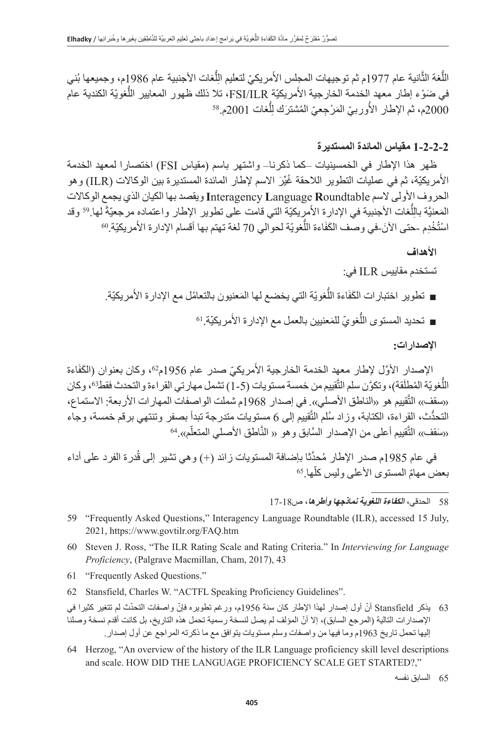اللَّغة الثَّانية عام 1977م ثم توجيهات المجلس الأُمريكيّ لتعليم الِلَّغات الأجنبية عام 1986م، وجميعها بُني  $\frac{1}{2}$ َمريكيّة FSI/ILR، تلا ذلك ظهور المعايير اللّغويّة الكندية عام في ضَوْء إطار معهد الخدمة الخارجية الامريكيّة FSI/ILR، تلا<br>2000م، ثم الإطار الأُوربيّ المَرْجِعيّ المُشترَك لِلُّغات 2001م.<sup>58</sup>  $\frac{1}{2}$ ُ

## **1-2-2-2 مقياس المائدة المستديرة**

ظهر هذا اإلطار في الخمسينيات –كما ذكرنا– واشتهر باسم )مقياس FSI )اختصارا لمعهد الخدمة الأُمريكيّة، ثم في عمليات النطوير اللاحقة غُيِّرَ الاسم لإطار المائدة المستديرة بين الوكالات (ILR) و هو الحروف األولى السم **R**oundtable **L**anguage **I**nteragency ويقصد بها الكيان الذي يجمع الوكاالت المَعنيَّة بالِلَّغات الأجنبية في الإدارة الأُمرِيكيّة التي قامت على تطوير الإطار واعتماده مرجعيّةً لها.<sup>59</sup> وقد  $\frac{1}{2}$ المعنيه باللغات الاجنبيه في الإدارة الامريكيه التي قامت على نطوير الإطار واعتماده مرجعيه ا<br>اسْتُخْدِم -حتى الآنَ-في وصف الكَفَاءة اللُّغويّة لحوالي 70 لغة تهتم بها أقسام الإدارة الأَمريكيّة 0.

### **األهداف**

تستخدم مقاييس ILR في:

- تطوير اختبارات الكَفَاءة اللَّغويّة التي يخضع لها المَعنيون بالتعامُل مع الإدارة الأُمريكيّة ِ
	- تحديد المستوى اللَّغويّ للمَعنيين بالعمل مع الإدارة الأمريكيّة.'<sup>6</sup>

**اإلصدارات:**

الإصدار الأوَّل لإطار معهد الخدمة الخارجية الأمريكيّ صدر عام 1956م02، وكان بعنوان (الكَفَاءة اً<br>ا اللّغويّة المُطلَقة)، وتكوَّن سلم التَّقييم من خمسة مستويات (5-1) تشمل مهارتي القراءة والتحدث فقط۞، وكان «سقف» النّقييم هو «الناطق الأصلي». في إصدار 1968م شملت الواصفات المهار ات الأربعة: الاستماع، التحدَّث، القراءة، الكتابة، وزاد سُلم النَّقييم إلى 6 مستويات متدرجة تبدأ بصفر وتنتهي برقم خمسة، وجاء «سَقف»، التَّقييم أعلى من الإصدار السَّابق و هو « النَّاطق الأصلي المتعلّم».<sup>64</sup>

في عام 1985م صدر الإطار مُحدَّثا بإضافة المستويات زائد (+) و هي تشير إلى قُدرة الفرد على أداء<br>ــر مهامّ المستوى الأعلى وليس كلّها.<sup>65</sup> بعض مهامّ المستوى الأعلى وليس كلّها <sup>65</sup>

58 الحدقي، **الكفاءة اللغوية نماذجها وأطرها**، ص17-18

- 59 "Frequently Asked Questions," Interagency Language Roundtable (ILR), accessed 15 July, 2021, [https://www.govtilr.org/FAQ.htm](https://www.govtilr.org/FAQ.htm#2)
- 60 Steven J. Ross, "The ILR Rating Scale and Rating Criteria." In *Interviewing for Language Proficiency*, (Palgrave Macmillan, Cham, 2017), 43
- 61 "Frequently Asked Questions."
- 62 Stansfield, Charles W. "ACTFL Speaking Proficiency Guidelines".
- 63 يذكر Stansfield ّ أن أول إصدار لهذا اإلطار كان سنة 1956 ّ م، ورغم تطويره فإن ّ واصفات التحدث لم تتغير كثيرا في ّ اإلصدارات التالية )المرجع السابق(، إال أن المؤلف لم يصل لنسخة رسمية تحمل هذه التاريخ، بل كانت أقدم نسخة وصلنا إليها تحمل تاريخ 1963م وما فيها من واصفات وسلم مستويات يتوافق مع ما ذكرته المراجع عن أول إصدار.
- 64 Herzog, "An overview of the history of the ILR Language proficiency skill level descriptions and scale. HOW DID THE LANGUAGE PROFICIENCY SCALE GET STARTED?,"

65 السابق نفسه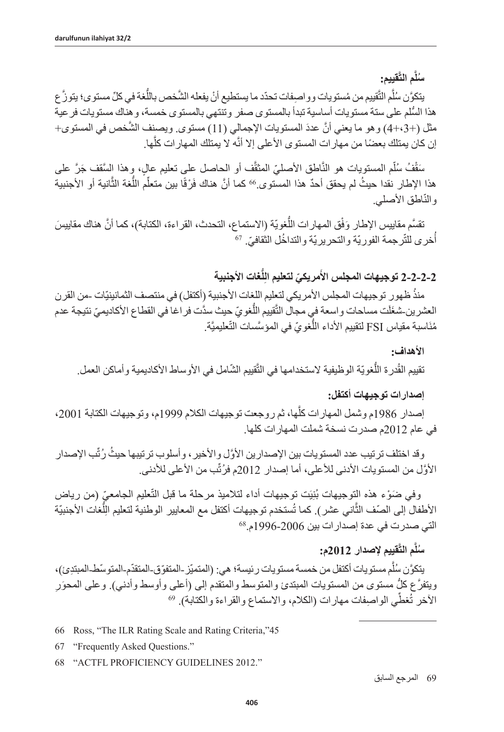**َّقييم: َّم الت ُسل**

يتكوَّن سُلَّم التَّقييم من مُستويات وواصِفات تحدّد ما يستطيع أنْ يفعله الشَّخص باللَّغة في كلِّ مستوى؛ يتوزُّ ع ُّ هذا السلم على ستة مستويات أساسية تبدأ بالمستوى صفر وتنتهي بالمستوى خمسة، وهناك مستويات فرعية مثل (+3+4) وهو ما يعني أنَّ عددَ المستويات الإجمالي (11) مستوى. ويصنف الشَّخص في المستوى+ إن كان يمتلك بعضًا من مهار ات المستوى الأعلى إلا أنَّه لا يمتلك المهار ات كلِّها.

َّسَقْفُ سُلّم المستويات هو النَّاطق الأصليّ المثقّف أو الحاصل على تعليم عالٍ، وهذا السَّقف جَرَّ على هذا الإطار نقدا حيثُ لم يحقق أحدٌ هذا المستوى 66 كما أنَّ هناك فَرْقًا بين متعلِّم اللَّغة الثَّانية أو الأجنبية والنّاطق الأصلي<sub>.</sub>

ق المهار ات اللّغويّة (الاستماع، التحدث، القراءة، الكتابة)، كما أنَّ هناك مقابيسَ نقسّم مقاييس الإطار وَفق المهار ات اللغويّة (الاستماع<br>أخرى للتّرجمة الفوريّة والتحريريّة والتداخُل الثقافيّ. <sup>67</sup>

> **ُّغات األجنبية ِل ّ مريكي لتعليم ال 2-2-2-2 توجيهات المجلس األ َ**

منذُ ظهور توجيهات المجلس الأمريكي لتعليم اللغات الأجنبية (أكتفل) في منتصف الثمانينيّات -من القرن العشرين شغَلَت مساحات واسعة فبي مجال التَّقييم اللَّغويّ حيث سدَّت فر اغا في القطاع الأكاديميّ نتيجة عدم مُنَاسبة مقياس FSI لتقييم الأداء اللَّغويّ في المؤسَّسات التَّعليميَّة.

**األهداف:**

تقييم القُدرة اللّغويّة الوظيفية لاستخدامها في التَّقييم الشّامل في الأوساط الأكاديمية وأماكن العمل.

#### **إصدارات توجيهات أكتفل:**

إصدار 1986م وشمل المهارات كلّها، ثم روجعت توجيهات الكلام 1999م، وتوجيهات الكتابة 2001، في عام 2012م صدرت نسخة شملت المهارات كلها.

وقد اختلف ترتيب عدد المستويات بين الإصدارين الأوَّل والأخير ، وأسلوب ترتيبها حيثُ رُتِّب الإصدار الأوَّل من المستويات الأدنى للأعلى، أما إصدار 2012م فرُثَّب من الأعلى للأدنى<sub>.</sub>

وفي ضَوْء هذه التوجيهات بُنِيَت توجيهات أداء لتلاميذ مرحلة ما قبل التّعليم الجامعيّ (من رياض اني عشر). كما تُستخدم توجيهات أكتفل مع المعايير الوطنية لتعليم الِلَّغات الأجنبيّة  $\overline{I}$ التي صدرت في عدة إصدار ات بين 2006-1996م.<sup>68</sup>

# **َّقييم إلصدار 2012م: َّم الت ُسل**

يتكوَّن سُلَّم مستويات أكتفل من خمسة مستويات رئيسة؛ هي: (المتميّز -المتفوّق-المتقدّم-المتوسّط-المبتدِئ)، ويتفرَّع كلُّ مستوى من المستويات المبتدئ والمتوسط والمتقدم إلى (أعلى وأوسط وأدني)<sub>.</sub> وعلى المحوَر الآخر تُغطِّي الواصفات مهارات (الكلام، والاستماع والقراءة والكتابة). 69

- 66 Ross, "The ILR Rating Scale and Rating Criteria,"45
- 67 "Frequently Asked Questions."
- 68 "ACTFL PROFICIENCY GUIDELINES 2012."

69 المرجع السابق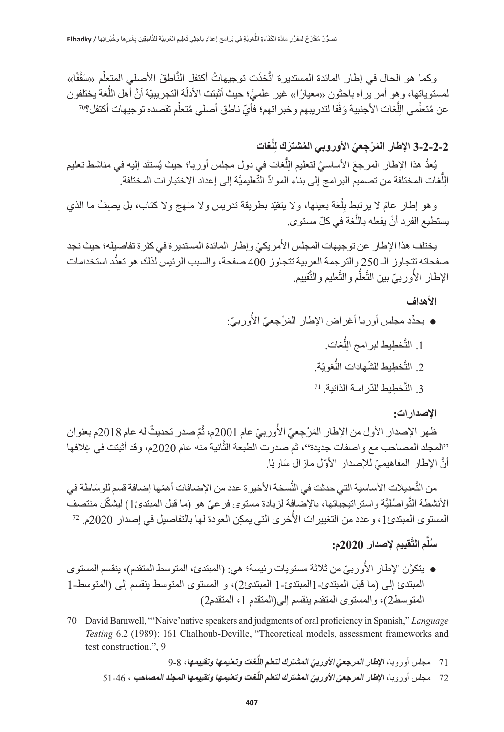وكما هو الحال في إطار المائدة المستديرة اتَّخذَت توجيهاتُ أكتفل النَّاطقَ الأصلي المتعِلْم «سَقْفًا» ِّة التجريبيّة أنَّ أهل اللَّغة يختلفون لمستوياتها، و هو امر ير اه باحثون «معيار ًا)» غير علميٍّ؛ حيث اثبتت الادلة التجريبيّة انّ اهل اللغة يختلف<br>عن مُتعلِّمي الِلُّغات الأجنبية وَفْقا لتدريبهم وخبر اتهم؛ فأيّ ناطق أصلي مُتعلِّم تقصده توجيهات أكتفل؟<sup>70</sup> ُِّل

# **ُّغات ِل َ 3-2-2-2 اإلطار الم ْر ِج ّعي ُ األوروبي الم َشترك ل**

يُعدُ هذا الإطار المرجعَ الأساسيَّ لتعليم اللِّغات في دول مجلس أوربا؛ حيث يُستنَد إليه في مناشط تعليم  $\frac{1}{2}$ الِلَّغات المختلفة من تصميم البر امج إلى بناء الموادِّ التَّعليميَّة إلى إعداد الاختبار ات المختلفة<sub>.</sub>  $\frac{1}{2}$ 

وهو إطار عامّ لا برتْنبِط بِلُغة بعينها، ولا يتقيّد بطريقة تدريس ولا منهج ولا كتاب، بل يصِفُ ما الذي ِل يستطيع الفرد أنْ يفعله باللَّغة في كلّ مستوى<sub>.</sub>

َيختلف هذا الإطار عن توجيهات المجلس الأمريكيّ وإطار المائدة المستدير ة في كثر ة تفاصيله؛ حيث نجد صفحاته تتجاوز الـ 250 والترجمة العربية تتجاوز 400 ُّ صفحة، والسبب الرئيس لذلك هو تعدد استخدامات الإطار الأوربيّ بين التَّعلَّم والتَّعليم والتَّقييم. اً<br>ا

### **األهداف**

- ا<br>ا ● يحدِّد مجلس أوربا أغراض الإطار المَرْجِعيّ الأوربيّ: 1. التَّخطِيط لبر امج الِلَّغات.  $\frac{1}{2}$ 
	- 2. التَّخطِيط للشَّهادات اللَّغويّة.
	- 3. التَّخطِيط للدّراسة الذاتية. <sup>71</sup>

## **اإلصدارات:**

ظهر الإصدار الأول من الإطار المَرْجِعيّ الأوربيّ عام 2001م، ثُمّ صدر تحديثٌ له عام 2018م بعنوان المُسَابِقِينَ بِمَا يَسْتَقِينَ بِمَا يَسْتَقِينَ بِمَا يَسْتَقِينَ بِمَا يَسْتَقِينَ بِمَا يَسْتَقِينَ بِمَا ُ''المجلد المصاحب مع واصفات جديدة''، ثم صدرت الطبعة الثّانية منه عام 2020م، وقد أثبتت في غِلافها أنّ الإطار المفاهيميّ للإصدار الأوّل مازال سَاريًا.

من التَّعديلات الأساسية التي حدثت في النَّسخة الأخير ة عدد من الإضـافات أهمّها إضـافة قسم للوسَاطـة في الأنشطة التَّو اصُليَّة و استر اتيجياتها، بالإضافة لزيادة مستوى فرعيّ هو (ما قبل المبتدئ1) ليشكّل منتصف المُسَابِقِينَ بِهِ مُسَابِقِينَ بِهِ مُسَابِقِينَ بِهِ مُسَابِقِينَ بِهِ مُسَابِقِينَ بِهِ مُسَابِقِينَ بِهِ م الانشطة التواصُليّة واستر اتيجياتها، بالإضافة لزيادة مستوى فر عيّ هو (ما قبل المبتدئ1) ليشكل منتصف<br>المستوى المبتدئ1، و عدد من التغييرات الأُخرى التي يمكِن العودة لها بالتفاصيل في إصدار 2020م. <sup>72</sup>

# **َّقييم إلصدار 2020م: َّم الت ُسل**

- اً<br>ا ● يتكوَّن الإطار الأوربيّ من ثلاثة مستويات رئيسة؛ هي: (المبتدئ، المتوسط المتقدم)، ينقسم المستوى المبتدئ إلى (ما قبل المبتدئ-1 المبتدئ-1 المبتدئ2)، و المستوى المتوسط ينقسم إلى (المتوسط-1 المتوسط2)، والمستوى المتقدم ينقسم إلى(المتقدم 1، المتقدم2)
- 70 David Barnwell, "'Naive'native speakers and judgments of oral proficiency in Spanish," *Language Testing* 6.2 (1989): 161 Chalhoub-Deville, "Theoretical models, assessment frameworks and test construction.", 9
	- **ُّغات وتعليمها وتقييمها**، 9-8 **اإلطار المرجعي ّ األوربي المشترك لتعلم الل** 71 مجلس أوروبا، **ّ**
	- 72 مجلس أوروبا، **الإطا***ر* **المرجعيّ الأوربيّ المشترك لتعلم اللُّغات وتعليمها وتقييمها المجلد المصا<b>حب** ، 64-51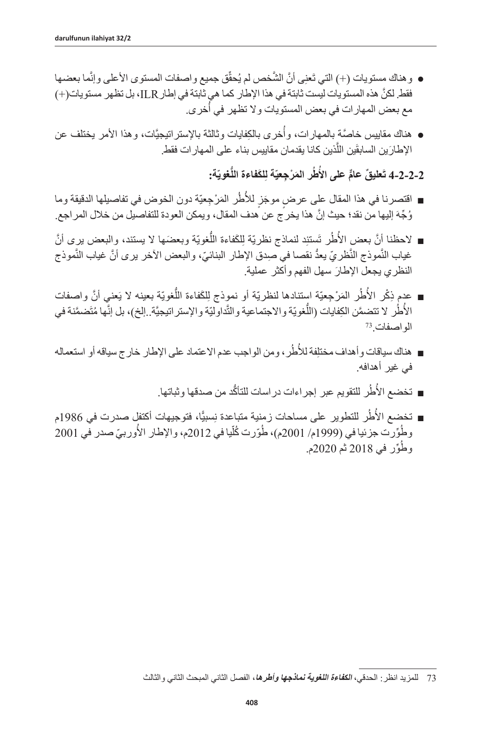- وهناك مستويات (+) التي تَعنِي أنَّ الشَّخص لم يُحقَق جميع واصفات المستوى الأعلى وإنَّما بعضـها ّ فقط. لكنَّ هذه المستويات ليست ثابتة في هذا الإطار كما هي ثابتة في إطار ILR، بل تظهر مستويات(+) مع بعض المهارات في بعض المستويات ولا تظهر في أُخرى.
- ؙؚ<br>ؙ ● هناك مقاييس خاصّة بِالمهارات، واخرى بالكِفايات وثالثة بالإستراتيجيّات، وهذا الامر يختلف عن الإطارَين السابقَين اللَّذين كانا يقدمان مقاييس بناء على المهار ات فقط.
	- 2-2-2-4 تَعليقّ عامٌّ على الأطُر المَرْجِعيّة لِلكَفاءة اللَّغويّة: **ُ**
- ُّ أ ■ اقتصرنا في هذا المقال على عرضٍ موجَزٍ للأطُرِ المَرْجِعيّة دون الخوض في تفاصيلها الدقيقة وما وُجِّهَ إليها من نقد؛ حيث إنّ هذا يخرج عن هدف المقال، ويمكن العودة للتفاصيل من خلال المراجع.
- لاحظنا أنَّ بعض الأطُر تَستنِد لنماذج نظريّة لِلكَفاءة اللَّغويّة وبعضَها لا يستند، والبعض برى أنَّ غياب النّموذج النّظريّ يعدَّ نقصـا في صِدق الإطـار البنائيّ، والبعض الآخر يرى أنَّ غياب النّموذج َ النظري يجعل اإلطار سهل الفهم وأكثر عملية.
- عدم ذِكْر الأُطُر المَرْجِعيّة استنادها لنظريّة أو نموِذج لِلكَفاءة اللُّغويّة بعينه لا يَعني أنَّ واصفات ُالأُطُر لا تتضمَّن الكِفايات (اللَّغويّة والاجتماعية والتَّداوليّة والإستراتيجيَّة ـ إلخ)، بل إنَّها مُتَضمَّنة في<br>الواصفات <sup>73</sup> ُّ أَ
- هناك سياقات وأهداف مختلِفة للأطُر، ومن الواجب عدم الاعتماد على الإطار خارج سياقه أو استعماله في غير أهدافه.
	- تخضع الأطُر للتقويم عبر إجراءات دراسات للتأكُّد من صدقها وثباتها.
- تخضع الأُطُر للتطوير على مساحات زمنية متباعدة نِسبيًّا، فتوجيهات أكتفل صدرت في 1986م ُوطُوِّرت جزئيا في (1999م/ 2001م)، طُوِّرت كُلّيا في 2012م، والإطار الأوربيّ صدر في 2001 ِّ ا ُا<br>ا ِّور في 2018 ثم 2020م. وط

<sup>73</sup> للمزيد انظر: الحدقي، **الكفاءة اللغوية نماذجها وأطرها**، الفصل الثاني المبحث الثاني والثالث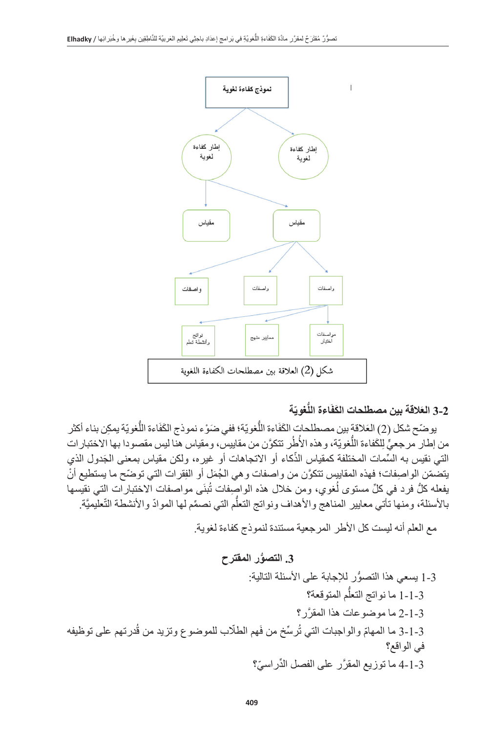

# **ّة ُّغوي َاءة الل َ 3-2 الع َ القة بين مصطلحات الكف**

يوضّح شكل (2) العَلاقة بين مصطلحات الكَفَاءة اللُّغويّة؛ ففي ضَوْء نموذج الكَفَاءة اللُّغويّة يمكِن بناء أكثر ُمن إطار مرجعيٍّ لِلكَفاءة اللُّغويّة، و هذه الأُطُر تتكوَّن من مقاييس، ومقياس هنا ليس مقصودا بها الاختبار ات ֧֖֖֖֖֖֖֖֚֚֚֚֚֚֚֚֚֚֚֚֚֚֚֚֚֚֚֚֚֝֟֓**֟** التي نقيس به السِّمات المختلّفة كمقياس الذكاء أو الاتجاهات أو غيره، ولكن مقياس بمعنى الْجَدول الّذي يتضمّن الواصفات؛ فهذه المقاييس تتكوَّن من واصفات و هي الجُمَل أو الفِقرات التي توضّح ما يستطيع أنْ يفعله كلُّ فرد في كلِّ مستوى لُغوي، ومن خلال هذه الواصِفات تُبنَى مواصفات الاختبارات التي نقيسها ُبالأسئلة، ومنها تأتي معايير المناهج والأهداف ونواتج التعلّم التي نصمّع لها الموادّ والأنشطة التّعليميَّة. ُّ

مع العلم أنه ليست كل األطر المرجعية مستندة لنموذج كفاءة لغوية.

**ُّ .3 التصور المقترح**

ُّ 1-3 يسعي هذا التصور لإلجابة على األسئلة التالية: ُّم المتوقعة؟ 1-1-3 ما نواتج التعل َّ 2-1-3 ما موضوعات هذا المقرر؟ ُدرتهم على توظيفه َهم الطّلب للموضوع وتزيد من ق ُ ِّرسخ من ف ّ 3-1-3 ما المهام والواجبات التي ت في الواقع؟ َّ 4-1-3 ما توزيع المقر ِّ ر على الفصل الد ّ راسي؟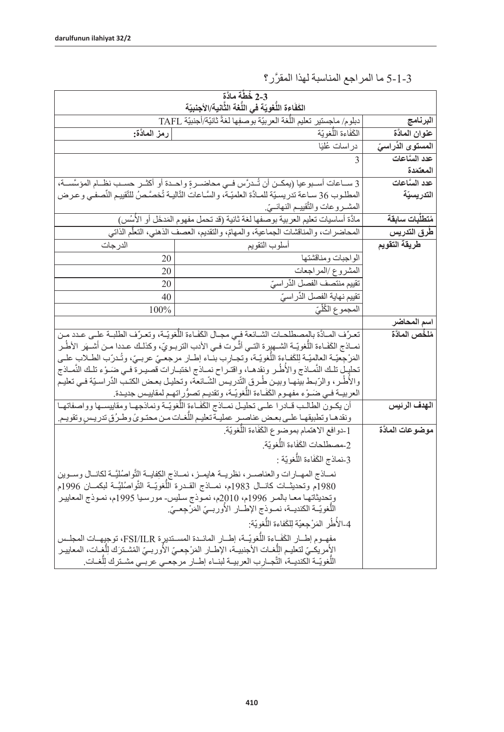|                              | 2-3 خُطَّة مادَّة<br>الكَفَاءة اللَّعْوِيّة في اللَّعْة الثَّانية/الأجنبيّة                                                                                                                                 |              |
|------------------------------|-------------------------------------------------------------------------------------------------------------------------------------------------------------------------------------------------------------|--------------|
| البرنامج                     | دبلوم/ ماجستير تعليم اللُّغة العربيّة بوصفِها لغةً ثانيّة/أجنبيّة TAFL                                                                                                                                      |              |
| عنوان المادَّة               | الْكَفَاءة اللَّغويّة                                                                                                                                                                                       | رمز الملذّة: |
| المستوى الذّراس <del>ى</del> | در اسات عُليَا                                                                                                                                                                                              |              |
| عدد السَّاعات                | 3                                                                                                                                                                                                           |              |
| المعتمدة                     |                                                                                                                                                                                                             |              |
| عدد السَّاعات                | 3 سـاعات أسـبوعيا (يمكـن أن تُـدرَّس فـي محاضـرةٍ واحـدة أو أكثـر حسـب نظـام المؤسَّسـة،                                                                                                                    |              |
| التدريسيّة                   | المطلوب 36 سـاعة تدريسيّة للمـادَّة العلميّـة، والسَّـاعات الثّاليـة تُخصَّـصُ للتّقييم النِّصفـي وعـرض                                                                                                     |              |
|                              | المشــروعات والتَّقييــم النهائــيّ.                                                                                                                                                                        |              |
| متطلبات سابقة                | مادَّة أساسيات تعليم العربية بوصفها لغة ثانية (قد تحمل مفهوم المَدخَل أو الأُسُس)                                                                                                                           |              |
| طرق التدريس                  | المحاضرات، والمناقشات الجماعية، والمهامّ، والتقديم، العصف الذهني، التعلُّم الذاتي                                                                                                                           |              |
| طريقة التقويم                | أسلوب التقويم                                                                                                                                                                                               | الدر جات     |
|                              | الواجبات ومناقشتها                                                                                                                                                                                          | 20           |
|                              | المشروع /المراجعات                                                                                                                                                                                          | 20           |
|                              | تقييم منتصف الفصل الذِّر اسيّ                                                                                                                                                                               | 20           |
|                              | تقييم نهاية الفصل الذِّر اسيّ                                                                                                                                                                               | 40           |
|                              | المجموع الكُلِّيّ                                                                                                                                                                                           | 100%         |
| سم المحاضر                   |                                                                                                                                                                                                             |              |
| مُلخِّص المادَّة             | تعرِّف المادَّة بالمصطلحات الشـائعة فـي مجـال الكَفَـاءة اللُّغويّـة، وتعرِّف الطلبـة علـي عـدد مـن                                                                                                         |              |
|                              | نمــاذج الكَفَـاءة اللُّغويّــة الشــهيرة التــى أثّــرت فــى الأدب التربــويّ، وكذلـك عـددا مــن أشــهَر الأطُــر                                                                                          |              |
|                              | المَرْجِعِيّة العالميّة لِلكَفاءة اللّغويّة، وتجـارب بنّاء إطـار مرجعـيّ عربـيّ، وتُـدرّب الطـلاب علـي                                                                                                      |              |
|                              | تحليل تلك النَّصاذج والأطَّر ونقدهـا، واقتـراح نمـاذج اختبـارات قصيـرة فـي ضَـوْء تلـك النَّمــاذج<br>والأطُر ، والرّبط بينهـا وبيـن طُـرق التّدريـس الشّـائعة، وتحليـل بعـض الكتـب الدِّراسـيّة فـي تعليـم |              |
|                              | العربيــة فــي ضـَـوْء مفهـوم الكَفَـاءة اللُّغويّــة، وتقديـم تصوُّر اِتهـم لمقاييـس جديـدة.                                                                                                               |              |
| الهدف الرئيس                 | أن يكـون الطالـب قـادرا علـى تحليـل نمـاذج الكَفَـاءة اللُّغويّـة ونماذجهـا ومقاييسـها وواصفاتهـا                                                                                                           |              |
|                              | ونقدهـا وتطبيقهـا علـى بعـض عناصـر عمليـة تعليـم اللُّغـات مـن محتـويِّ وطـرُق تدريـس وتقويـم.                                                                                                              |              |
| موضوعات المادَّة             | [_دوافع الاهتمام بموضوع الكَفَاءة اللَّغويّة.                                                                                                                                                               |              |
|                              | 2-مصطلحات الكَفَاءة اللَّغويّة.                                                                                                                                                                             |              |
|                              |                                                                                                                                                                                                             |              |
|                              | 3-نماذج الكَفَاءة اللَّغويّة :                                                                                                                                                                              |              |
|                              | نمـاذج المهـارات والعناصـر، نظريــة هايمـز، نمـاذج الكِفايــة التَّواصُليَّــة لكانــال وسـوين                                                                                                              |              |
|                              | 1980م وتحديثــات كانـــال 1983م، نمـــاذج القــدرة اللُّغويّــة التَّواصُليَّــة لبكمــان 1996م                                                                                                             |              |
|                              | وتحديثاتهـا معـا بالمـر 1996م، 2010م، نمـوذج سـليس- مورسـيا 1995م، نمـوذج المعاييـر<br>اللُّغويّــة الكنديــة، نمــوذج الإطـــار الأوربــيّ المَرْجِعــيّ.                                                  |              |
|                              | 4-الأطُر المَرْجعيّة لِلكَفاءة اللَّغويّة:                                                                                                                                                                  |              |
|                              |                                                                                                                                                                                                             |              |
|                              | مفهـوم إطــار الكَفَـاءة اللُّغويّـة، إطــار المائــدة المسـتديرة FSI/ILR، توجيهـات المجلـس                                                                                                                 |              |
|                              | الأمريكـيّ لتعليم اللُّغــات الأجنبيــة، الإطــار المَرْجِعــيّ الأوربــيّ المُشــترَك لِلُّغِــات، المعاييـر<br>اللُّغويّـة الكنديـة، التَّجـارِب العربيـة لبنـاء إطــار مرجعـي عربـي مشـنرك لِلْغـات.     |              |
|                              |                                                                                                                                                                                                             |              |

َّ 5-1-3 ما المراجع المناسبة لهذا المقرر؟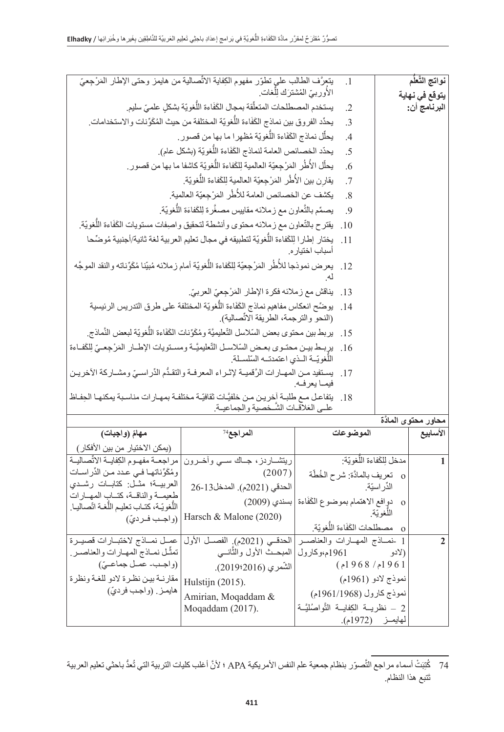|                                                                                                         | يتعرَّف الطالب على تطوَّر مفهوم الكِفاية الاتِّصالية من هايمز وحتى الإطار المَرْجِعيّ                                                     |                                         | $\cdot$ 1                       |                | نواتج التَّعلَّم                |
|---------------------------------------------------------------------------------------------------------|-------------------------------------------------------------------------------------------------------------------------------------------|-----------------------------------------|---------------------------------|----------------|---------------------------------|
| الأوربيّ المُشترَك لِلّغات ِ<br>يستخدم المصطلحات المتعلِّقة بمجال الكَفَاءة اللُّغويّة بشكل علميّ سليم. |                                                                                                                                           |                                         | $\cdot$ .2                      |                | يتوقع في نـهاية<br>البرنامج أن: |
|                                                                                                         | يحدِّد الفروق بين نماذج الكَفَاءة اللُّغويَّة المختلفة من حيث المُكَوِّنات والاستخدامات.                                                  |                                         | $\cdot$ 3                       |                |                                 |
|                                                                                                         | يحلِّل نماذج الكَفَاءة اللُّغويّة مُظهرا ما بها من قصور ِ.                                                                                |                                         | $\overline{A}$                  |                |                                 |
|                                                                                                         | يحدّد الخصـائص العامة لنماذج الكَفَاءة اللُّغويّة (بشكل عام).                                                                             |                                         | .5                              |                |                                 |
|                                                                                                         | يحلِّل الأُطُرِ المَرْجِعيَّة العالمية لِلكَفاءة اللُّغويّة كاشفا ما بها من قصور ِ.                                                       |                                         | .6                              |                |                                 |
|                                                                                                         | يقارن بين الأُطُر المَرْجعيّة العالمية لِلكَفاءة اللُّغويّة.                                                                              |                                         | .7                              |                |                                 |
|                                                                                                         | يكشف عن الخصـائص العامة للأُطُر المَرْجِعيّة العالمية.                                                                                    |                                         | .8                              |                |                                 |
|                                                                                                         | يصمِّم بالنَّعاون مع زملائه مقاييس مصغَّرة لِلكَفاءَة اللُّغويّة.                                                                         |                                         | .9                              |                |                                 |
|                                                                                                         | يقترح بالتّعاون مع زملائه محتوى وأنشطة لتحقيق واصفات مستويات الكَفَاءة اللُّغويّة.                                                        |                                         | .10                             |                |                                 |
|                                                                                                         | يختار إطارا لِلكَفاءة اللُّغويّة لتطبيقه في مجال تعليم العربية لغة ثانية/أجنبية مُوضِّحا                                                  | أسباب اختيار م                          | $-11$                           |                |                                 |
|                                                                                                         | 12.   يعرض نموذجا للأطُر المَرْجِعيّة لِلكَفاءة اللُّغويّة أمام زملائه مُبيّنا مُكَوّناته والنقد الموجَّه                                 |                                         |                                 |                |                                 |
|                                                                                                         | يناقش مع زملائه فكرة الإطار المَرْجِعيّ العربيّ.                                                                                          |                                         | .13                             |                |                                 |
|                                                                                                         | يوضِّح انعكاس مفاهيم نماذج الكَفَاءة اللُّغويّة المختلفة على طرق التدريس الرئيسية<br>(النحو والترجمة، الطريقة الاتِّصالية).               |                                         | .14                             |                |                                 |
|                                                                                                         | 15.    يربط بين محتوى بعض السّلاسل التّعليميَّة ومُكَوِّنات الكَفَاءة اللُّغويّة لبعض النَّماذج.                                          |                                         |                                 |                |                                 |
|                                                                                                         | يربط بين محتـوى بعـض السّلاسـل التّعليميَّــة ومسـتويات الإطــار المَرْجِعــيّ لِلكَفـاءة<br>اللّغويّــة اللذي اعتمدتــه السّلســلة.      |                                         | .16                             |                |                                 |
|                                                                                                         | 17.   يستفيد مـن المهـارات الرَّقميــة لإثــراء المعرفــة والتقـدُّم الدِّراســيّ ومشــاركة الأخريـن                                      | فيما يعرفه.                             |                                 |                |                                 |
|                                                                                                         | 18.    يتفاعل مـع طلبـة أخريـن مـن خلفيَّـات ثقافيّـة مختلفـة بمهـار ات مناسـبة يمكنهـا الحِفـاظ<br>علمي العَلاقات الشَّخْصية والجماعيـة. |                                         |                                 |                |                                 |
|                                                                                                         |                                                                                                                                           |                                         |                                 |                | محاور محتوى المادَّة            |
| مهامَ (واجبات)                                                                                          | المراجع <sup>74</sup>                                                                                                                     |                                         | الموضوعات                       |                | الأسابيع                        |
| (بمكن الاختيار من بين الأفكار)                                                                          |                                                                                                                                           |                                         |                                 |                |                                 |
| مراجعة مفهوم الكفاية الاتِّصالية<br>ومُكَوِّناتها في عدد من الدِّراسات                                  | ريتشساردز، جساك سسي وأخسرون<br>(2007)                                                                                                     |                                         | مدخل لِلكَفاءة اللَّغويّة:      |                | $\mathbf{1}$                    |
| العربيــة؛ مثــل: كتابــات رشــدى                                                                       | الحدقي (2021م). المدخل13-26                                                                                                               |                                         | o نعريف بالمادَّة: شرح الخُطَّة | الدِّر اسيّة.  |                                 |
| طعيمة والناقسة، كتساب المهسارات<br>اللَّغويّة، كتـاب تعليـم اللَّغـة اتَصـاليـا.                        | دوافع الاهتمام بموضوع الكَفَاءة  بسندي (2009)                                                                                             |                                         |                                 | $\mathbf{O}$   |                                 |
| (واجب فرديّ)                                                                                            | Harsch & Malone (2020)                                                                                                                    |                                         | مصطلحات الكَفَاءة اللَّغويّة.   | اللُّغويَّة.   |                                 |
| عمـل نمــاذج لاختبــارات قصيــرة                                                                        | الحدقي (2021م). الفصل الأول                                                                                                               | 1 -نمــاذج المهـارات والعناصــر         |                                 | $\overline{O}$ | $\overline{2}$                  |
| تمثُّل نمـاذج المهـارات والعناصـر ِ                                                                     | المبحــث الأول والثّانـــى                                                                                                                | 1961م،وكارول                            |                                 | (لادو          |                                 |
| (واجب- عمل جماعـيّ)                                                                                     | الشّمري (2016?2019).                                                                                                                      |                                         | (968/961)                       |                |                                 |
| مقارنية بين نظرة لادو للغية ونظرة                                                                       | Hulstijn (2015).                                                                                                                          |                                         | نموذج لادو (1961م)              |                |                                 |
| هايمـز ِ (واجب فرديّ)                                                                                   | Amirian, Moqaddam &                                                                                                                       |                                         | نموذج كارول (1961/1968م)        |                |                                 |
|                                                                                                         | Moqaddam (2017).                                                                                                                          | 2 – نظريــة الكِفايــة التَّواصُليَّــة |                                 |                |                                 |
|                                                                                                         |                                                                                                                                           |                                         | لمهايمـــز (1972م).             |                |                                 |

<sup>74</sup> كُنِّبَتْ أسماء مر اجع التَّصوّر بنظام جمعية علم النفس الأمريكية APA ؛ لأنَّ أغلب كليات التربية التي تُعدُّ باحثي تعليم العربية َتبع هذا النظام. ت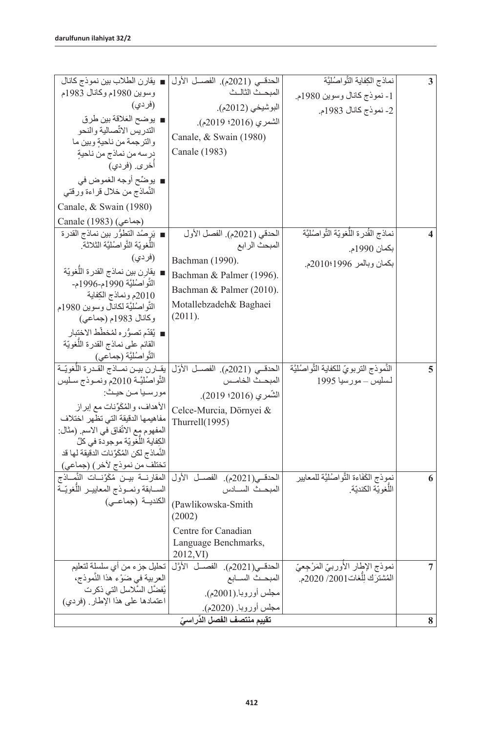| ■ يقارن الطلاب بين نموذج كانال                                               | الحدقي (2021م). الفصل الأول                  | نماذج الكِفاية الثَّواصُليَّة                                    | 3 |
|------------------------------------------------------------------------------|----------------------------------------------|------------------------------------------------------------------|---|
| وسوين 1980م وكانال 1983م                                                     | المبحث الثالث                                |                                                                  |   |
| (فر دي)                                                                      | البوشيخي (2012م).                            | 1- نموذج كانال وسوين 1980م.                                      |   |
| ■ يوضح العَلاقة بين طرق                                                      |                                              | 2- نموذج كانال 1983م.                                            |   |
| التدريس الاتًصالية والنحو                                                    | الشمري (2016؛ 2019م).                        |                                                                  |   |
| والترجمة من ناحيةٍ وبين ما                                                   | Canale, & Swain (1980)                       |                                                                  |   |
| درسه من نماذج من ناحيةٍ                                                      | Canale (1983)                                |                                                                  |   |
| أخرى. (فردي)                                                                 |                                              |                                                                  |   |
| ■ يوضِّح أوجه الغموض في                                                      |                                              |                                                                  |   |
| النَّماذج من خلال قراءة ورقتي                                                |                                              |                                                                  |   |
| Canale, & Swain (1980)                                                       |                                              |                                                                  |   |
| Canale (1983) (جماعي)                                                        |                                              |                                                                  |   |
| ■ يَرِ صُد النّطوُّر بين نماذج القدرة                                        | الحدقي (2021م). الفصل الأول                  | نماذج القُدرة اللُّغويّة الثَّواصُليَّة                          | 4 |
| اللُّغويّة الثَّواصُليَّة الثلاثة.                                           | المبحث الرابع                                | بكمان 1990م.                                                     |   |
| (فر دی)                                                                      | Bachman (1990).                              | بكمان وبالمر 1996؛2010م.                                         |   |
| ■ يقارن بين نماذج القدرة اللَّغويّة                                          | Bachman & Palmer (1996).                     |                                                                  |   |
| التَّواصُليَّة 1990م-1996م-                                                  | Bachman & Palmer (2010).                     |                                                                  |   |
| 2010م ونماذج الكفاية                                                         | Motallebzadeh& Baghaei                       |                                                                  |   |
| النَّواصُليَّة لكانال وسوين 1980م<br>وكانال 1983م (جماعي)                    | (2011).                                      |                                                                  |   |
| ■ يُقدّم تصوُّره لمُخطّط الاختبار                                            |                                              |                                                                  |   |
| القائم على نماذج القدرة اللُغويّة                                            |                                              |                                                                  |   |
| التَّواصُليَّة (جماعي)                                                       |                                              |                                                                  |   |
| يقبارن بيبن نمباذج القبدرة اللّغويّية                                        | الحدقي (2021م). الفصل الأوّل                 | النَّموذج التربويّ للكفاية التَّواصُليَّة                        | 5 |
| النُّواصُليَّــة 2010م ونمــوذج سـليس                                        | المبحث الخامس                                | لسليس – مورسيا 1995                                              |   |
| مورسيا مـن حيـث:                                                             | الشَّمري (2016؛ 2019).                       |                                                                  |   |
| الأهداف، والمُكَوِّنات مع إبراز                                              | Celce-Murcia, Dörnyei &                      |                                                                  |   |
| مفاهيمها الدقيقة التى تظهر اختلاف                                            | Thurrell $(1995)$                            |                                                                  |   |
| المفهوم مع الاتّفاق في الاسم. (مثال:                                         |                                              |                                                                  |   |
| الكِفاية اللُّغويّة موجودة في كلِّ                                           |                                              |                                                                  |   |
| النَّماذج لكن المُكَوِّنات الدقيقة لها قد                                    |                                              |                                                                  |   |
| تختلف من نموذج لأخر) (جماعي)                                                 |                                              |                                                                  |   |
| المقارنسة بيـن مُكَوِّنسات النَّمساذج<br>السسابقة ونمسوذج المعاييس اللذويّسة | الحدقي(2021م). الفصل الأول<br>المبحث السنادس | نموذج الكَفَاءة النَّواصُليَّة للمعايير<br>اللَّغويَّة الكنديّة. | 6 |
| الكندية (جماعى)                                                              |                                              |                                                                  |   |
|                                                                              | (Pawlikowska-Smith<br>(2002)                 |                                                                  |   |
|                                                                              | Centre for Canadian                          |                                                                  |   |
|                                                                              | Language Benchmarks,                         |                                                                  |   |
|                                                                              | 2012, VI)                                    |                                                                  |   |
| تحليل جزء من أي سلسلة لتعليم                                                 | الحدقي(2021م). الفصل الأوَّل                 | نموذج الإطار الأوربيّ المَرْجِعيّ                                | 7 |
| العربية في ضَوْءِ هذا النَّموذج،                                             | المبحث السسابع                               | الْمُشْتَرَك لِلَّغَاتْ2001/ 2020م.                              |   |
| يُفضَّل السَّلاسل التي ذكرت                                                  | مجلس أوروبا.(2001م).                         |                                                                  |   |
| اعتمادها على هذا الإطار . (فردى)                                             | مجلس أوروبا. (2020م).                        |                                                                  |   |
| تقييم منتصف الفصل الذِّراسيّ                                                 |                                              |                                                                  |   |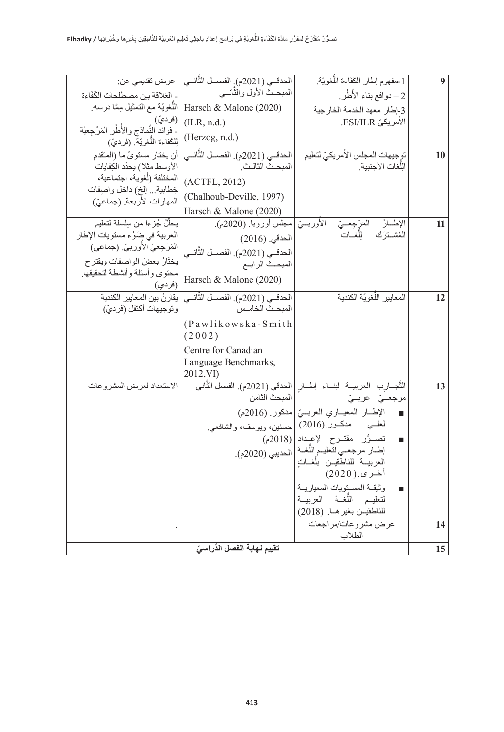| عرض تقديمي عن:                                                           | الحدقـي (2021م). الفصــل الثَّانــي                  | .<br>1-مفهوم إطار الكَفَاءة اللَّغويّة.                                      | 9  |
|--------------------------------------------------------------------------|------------------------------------------------------|------------------------------------------------------------------------------|----|
| - العَلاقة بين مصطلحات الكَفَاءة                                         | المبحث الأول والثّانسي                               | 2 – دوافع بناء الأطُر                                                        |    |
| اللَّغويّة مع التمثيل مِمَّا درسه.                                       | Harsch & Malone (2020)                               | 3-إطار معهد الخدمة الخارجية                                                  |    |
| (فرديّ)                                                                  | (ILR, n.d.)                                          | الأمريكيّ FSI/ILR.                                                           |    |
| ـ فوائد النَّماذج والأطُر المَرْجِعيّة<br>[لِلْكَفاءة اللَّغويّة (فرديّ) | (Herzog, n.d.)                                       |                                                                              |    |
| أن يختار مستوىً ما (المتقدم                                              | الحدقي (2021م). الفصــل الثَّانــي                   | توجيهات المجلس الأمريكيّ لتعليم                                              | 10 |
| الأوسط مثلا) يحدِّد الكِفايات                                            | المبحث الثالث                                        | اللّغات الأجنبية                                                             |    |
| المختلفة (أغوية، اجتماعية،                                               | (ACTFL, 2012)                                        |                                                                              |    |
| خِطابية إلخ) داخل واصِفات<br>المهارات الأربعة. (جماعيّ)                  | (Chalhoub-Deville, 1997)                             |                                                                              |    |
|                                                                          | Harsch & Malone (2020)                               |                                                                              |    |
| يحلِّلُ جُزِءا من سِلسلة لتعليم                                          | المَرْجِعــيّ     الأوربـــيّ  مجلس أوروباً (2020م). | الإطارُ                                                                      | 11 |
| العربية في ضوْء مستويات الإطار                                           | الحدقي. (2016)                                       | المُشترَك الِلَّغــات                                                        |    |
| المَرْجِعيّ الأوربيّ. (جماعي)                                            | الحدقــي (2021م). الفصــل الثَّانــى                 |                                                                              |    |
| يختَارُ بعضَ الواصفات ويقترح<br>محتوى وأسئلة وأنشطة لتحقيقها.            | المبحث الرابع                                        |                                                                              |    |
| (فر دي)                                                                  | Harsch & Malone (2020)                               |                                                                              |    |
| يقارنُ بين المعايير الكندبة                                              | الحدقـي (2021م). الفصــل الثَّانــي                  | المعايير اللَّغويّة الكندية                                                  | 12 |
| وتوجيهات أكتفل (فرديّ)                                                   | المبحث الخامس                                        |                                                                              |    |
|                                                                          | (Pawlikowska-Smith                                   |                                                                              |    |
|                                                                          | (2002)                                               |                                                                              |    |
|                                                                          | Centre for Canadian                                  |                                                                              |    |
|                                                                          | Language Benchmarks,<br>2012, VI)                    |                                                                              |    |
| الاستعداد لعرض المشروعات                                                 |                                                      | التَّجــارب العربيــة لبنــاء إطــار  الحدقي (2021م). الفصل الثَّاني         | 13 |
|                                                                          | المبحث الثامن                                        | مرجعــيّ عربــيّ                                                             |    |
|                                                                          |                                                      | الإطار المعياري العربسيّ  مدكور (2016م)                                      |    |
|                                                                          |                                                      | لعلَّــي مُسْ مَدْكــور (2016)  حسنين، ويوسف، والشَّافعي.                    |    |
|                                                                          |                                                      | تصوُّر مقترح لإعداد (2018م)<br>$\blacksquare$                                |    |
|                                                                          |                                                      | إطبار مرجعي لتعليم اللَّغبة   الحديبي (2020م).<br>العربيسة للناطقيـن بلغــات |    |
|                                                                          |                                                      | أخرى (2020)                                                                  |    |
|                                                                          |                                                      | وثيقة المستويات المعياريية                                                   |    |
|                                                                          |                                                      | لتعليم الأفحة العربيسة                                                       |    |
|                                                                          |                                                      | للناطقيـن بغير هـا. (2018)                                                   |    |
|                                                                          |                                                      | عرض مشروعات/مراجعات<br>الطلاب                                                | 14 |
| تقييم نهاية الفصل الذّراسيّ                                              |                                                      |                                                                              |    |
|                                                                          |                                                      |                                                                              | 15 |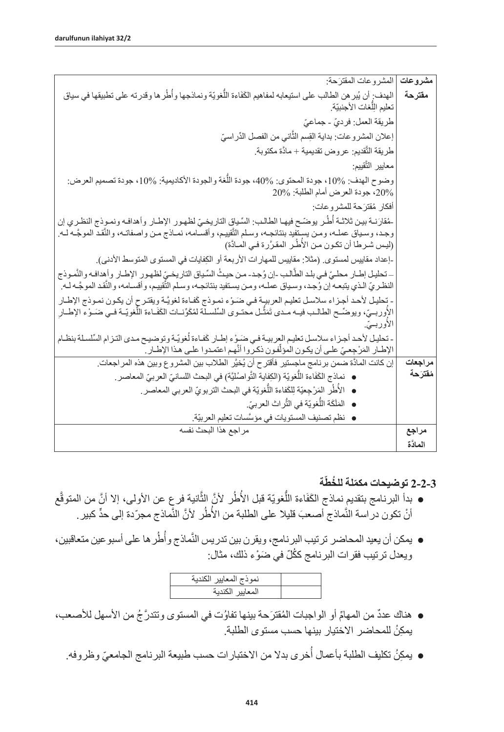| المشروعات المقترَحة:                                                                                                                                                                                                                                    | مشروعات  |
|---------------------------------------------------------------------------------------------------------------------------------------------------------------------------------------------------------------------------------------------------------|----------|
| الهدف: أن يُبر هن الطالب على استيعابه لمفاهيم الكَفَاءة اللُّغويّة ونماذجها وأطُر ها وقدرته على تطبيقها في سياق<br>تعليم الِلَّغات الأجنبيّة.                                                                                                           | مقترحة   |
| طريقة العمل: فرديّ - جماعيّ                                                                                                                                                                                                                             |          |
| إعلان المشروعات: بداية القِسم الثَّاني من الفصل الذِّراسيّ                                                                                                                                                                                              |          |
| طريقة التَّقديم: عروض تقديمية + مادَّة مكتوبة.                                                                                                                                                                                                          |          |
| معايير التَّقييم:                                                                                                                                                                                                                                       |          |
| وضوح الهدف: 10%، جودة المحتوى: 40%، جودة اللُّغة والجودة الأكاديمية: 10%، جودة تصميم العرض:<br>20%، جودة العرض أمام الطلبة: 20%                                                                                                                         |          |
| أفكار ۖ مُقترَ حة للمشر و عات :                                                                                                                                                                                                                         |          |
| -مُقارَنــة بيـن ثلاثــة أُطُـر يوضَــح فيهـا الطالـب: السِّـياق النّاريخـيّ لظهـور الإطـار وأهدافـه ونمـوذج النظـري إن                                                                                                                                 |          |
| وجد، وسـياق عملـه، ومـن يستفيد بنتائجـه، وسـلم التّقييم، وأقسـامه، نمـاذج مـن واصـفاتـه، والنّقد الموجَّـه لـه<br>(ليس شرطا أن تكون من الأطُر المقرَّرة في المادَّة)                                                                                    |          |
| ــإعداد مقاييس لمستوى ِ (مثلا: مقاييس للمهار ات الأربعة أو الكِفايات في المستوى المتوسط الأدنى).                                                                                                                                                        |          |
| ــ تحليل إطــار محلـيّ فـي بلـد الطّالـب -إن وُجـد- مـن حيـثُ السِّياق التاريخـيّ لظهـور الإطـار وأهدافـه والنّمـوذج<br>النظـريّ الـذي يتبعـه إن وُجـد، وسـياق عملـه، ومـن يسـتفيد بنتائجـه، وسـلم التَّقييم، وأقسـامه، والنَّقـد الموجَّـه لـه         |          |
| - بَحليل لأحد أجزاء سلاسل تعليم العربية في ضَوْء نموذج كَفاءة لغويَّة ويقترح أن يكون نموذج الإطـار<br>الأوربــيّ، ويوضّــح الطالــب فيــه مــدي تَمَثَّـل محتــوي السِّلسـلة لمُكَوِّنــات الكَفَـاءة اللّغويّــة فــي ضَــوْء الإطــارِ<br>الاوربــيّ. |          |
| - تحليل لأحد أجزاء سلاسل تعليم العربيـة فـي ضَـوْء إطـار كَفـاءة لْغويّة وتوضيح مـدى التـزام السِّلسلة بنظـام<br>الإطــار المَرْجِعـيّ علــى أن يكـون المؤلِّفـون ذكـروا أنَّهـم اعتمـدوا علــى هـذا الإطــار ِ                                         |          |
| إن كانت المادَّة ضمن برنامج ماجستير فأقترح أن يُخيَّر الطلاب بين المشروع وبين هذه المراجعات.                                                                                                                                                            | مراجعات  |
| ●   نماذج الكَفَاءة اللُّغويّة (الكِفاية النَّواصُليَّة) في البحث اللسانيّ العربيّ المعاصر .                                                                                                                                                            | مفترحة   |
| ● الأُطُرِ المَرْجِعيّة لِلكَفاءة اللُّغويّة في البحث التربويّ العربي المعاصر ِ.                                                                                                                                                                        |          |
| ● المَلَكَة اللَّغويّة في الثَّراث العربيّ.                                                                                                                                                                                                             |          |
| ●  نظم تصنيف المستويات في مؤسَّسات تعليم العربيّة.                                                                                                                                                                                                      |          |
| مر اجع هذا البحث نفسه                                                                                                                                                                                                                                   | مراجع    |
|                                                                                                                                                                                                                                                         | المادَّة |

# **ّة ّ 2-2-3 توضيحات مكم ُ لة للخط**

- بدأ البرنامج بتقديم نماذج الكَفَاءة اللُّغويّة قبل الأُطُر لأنَّ الثَّانية فرع عن الأولى، إلا أنَّ من المتوقّع أنْ تكون در اسة النَّماذج أصعبَ قليلا على الطلبة من الأُطُر لأنَّ النَّماذج مجرّدة إلى حدٍّ كبير ِ
- يمكن أن يعيد المحاضر ترتيب البرنامج، ويقرن بين تدريس النَّماذج وأُطُر ها على أسبو عين متعاقبين، ويعدل ترتيب فقرات البرنامج ككُلّ في ضَوْء ذلك، مثال:

| نموذج المعايير |  |
|----------------|--|
| ≕∽             |  |

- هناك عددٌ من المهامِّ أو الواجبات المُقترَحة بينها تفاوُت في المستوى وتتدرَّ جُ من الأسهل للأصعب، يمكِنُ للمحاضر الاختيار بينها حسب مستوى الطلبة.
	- ُ● يمكِنُ تكليف الطلبة بأعمال أخرى بدلا من الاختبار ات حسب طبيعة البرنامج الجامعيّ وظروفه.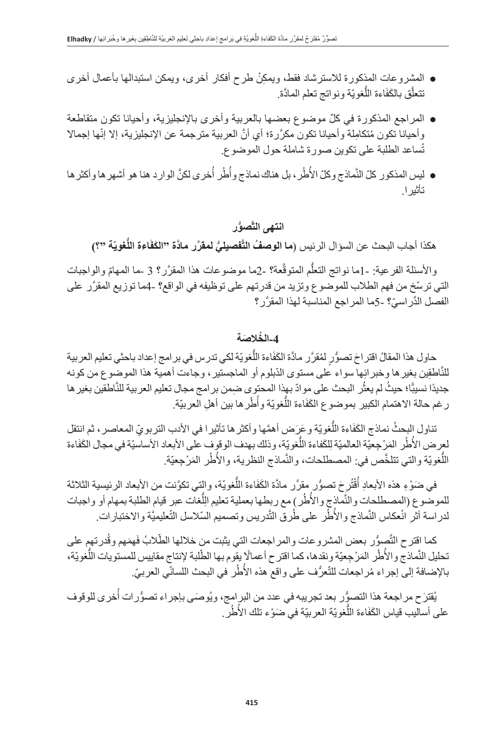- المشروعات المذكورة للاسترشاد فقط، ويمكِنُ طرح أفكار أخرى، ويمكن استبدالها بأعمال أخرى نتعلّق بالكَفَاءة اللّغويّة ونواتج تعلم المادّة.
- ِّ المراجع المذكورة في كل موضوع بعضها بالعربية وأخرى باإلنجليزية، وأحيانا تكون متقاطعة وأحيانا تكون مُتكامِلة وأحيانا تكون مكرَّرة؛ أي أنَّ العربية مترجمة عن الإنجليزية، إلا إنّها إجمالا ُساعد الطلبة على تكوين صورة شاملة حول الموضوع. ت
- ليس المذكور كلّ النَّماذج وكلّ الأطُر، بل هناك نماذج وأطُر أخرى لكنَّ الوارد هنا هو أشهر ها وأكثر ها تأثيرا.

# **َّ ُّصور انتهى الت**

هكذا أجاب البحث عن السؤال الرئيس (**ما الوصفُ التّفصيليُّ لمقرَّر مادَّة "الكَفَاءة اللّ<b>غ**ويّة "؟)

والأسئلة الفرعية: -1ما نواتج التعلُّم المتوقَّعة؟ -2ما موضوعات هذا المقرَّر؟ 3 ـما الممهامّ والواجبات ّ التي ترسخ من فهم الطالب للموضوع وتزيد من قدرتهم على توظيفه في الواقع؟ 4- َّ ما توزيع المقرر على الفصل الدِّر اسيّ؟ -5ما المر اجع المناسبة لهذا المقرَّر ؟

### **ُ -4الخ َالصة**

حاول هذا المقالُ اقتراحَ تصوُّرٍ لمُقرَّر مادَّة الكَفَاءة اللَّغويّة لكي تدرس في برامج إعداد باحثي تعليم العربية للنّاطقِين بغير ها وخبر ائِها سواء على مستوى الدّبلوم أو الماجستير ، وجاءت أهمية هذا الموضوع من كونه جديدًا نسيبًًا؛ حيثُ لم يعثُر البحث على موادّ بهذا المحتوى ضمن بر امج مجال تعليم العربية للنَّاطقين بغير ها ُر غم حالة الاهتمام الكبير بموضوع الكَفَاءة اللُّغويّة وأُطُر ها بين أهلِ العربيّة.

نناول البحثُ نماذج الكَفَاءة اللُّغويّة وعَرَض أهمَّها وأكثر ها تأثيرا في الأدب التربويّ المعاصر ، ثم انتقل لعرض الأُطُر المَرْجِعيّة العالميّة لِلكَفاءة اللُّغويّة، وذلك بهدف الوقوف على الأبعاد الأساسيّة في مجال الكَفَاءة ُ∫<br>⊧ اللُّغويّة والتي تتلخَّص في: المصطلحات، والنَّماذج النظرية، والأطُر المَرْجِعيّة<sub>.</sub>

في ضَوْءِ هذه الأبعادِ أُقْتُرِحَ تصوُّرٍ مقرَّر مادَّة الكَفَاءة اللَّغويّة، والتي تكوَّنت من الأبعاد الرئيسية الثلاثة **ُ** ُ للموضوع (المصطلحات والأساذج والأطُر) مع ربطها بعملية تعليم الِلُغات عبر قيام الطلبة بمهام أو واجبات ِل لدراسة أثرِ انْعكاس النَّماذج والأُطُر على طُرق النَّدريس وتصميم السّلاسل التّعليميَّة والاختبارات. ِ

كما اقترح التَّصوُّر بعض المشروعات والمراجعات التي يثبت من خلالها الطّلابُ فَهمَهم وقُدرتهمٍ على :<br>ا تحليل النَّماذج والأُطُر المَرْجِعيّة ونقدها، كما اقترح أعمالًا يقوم بها الطّلبة لإنتاج مقاييس للمستويات اللُّغويّة، ًا<br>ا بالإضافة إلى إجراء مُر اجعات للتّعرُّف على واقع هذه الأُطُر في البحث اللسانّي العربيّ.

يُقترَح مراجعة هذا التصوُّر بعد تجريبه في عدد من البرامج، ويُوصَى بإجراء تصوُّرات أُخرى للوقوف على أساليب قياس الكَفَاءة اللُّغويّة العربيّة في ضَوْء تلك الأُطُر ِ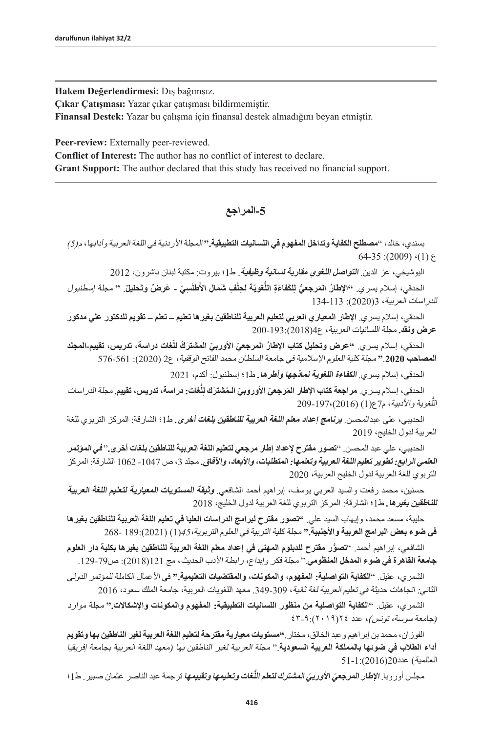**Hakem Değerlendirmesi:** Dış bağımsız.

**Çıkar Çatışması:** Yazar çıkar çatışması bildirmemiştir.

**Finansal Destek:** Yazar bu çalışma için finansal destek almadığını beyan etmiştir.

Peer-review: Externally peer-reviewed.

**Conflict of Interest:** The author has no conflict of interest to declare. **Grant Support:** The author declared that this study has received no financial support.

### **-5المراجع**

بسندي، خالد، "**مصطلح الكفاية وتداخل المفهوم في اللسانيات التطبيقية."** المجلة األردنية في اللغة العربية وآدابها، م*)5(* 64-35 : (2009)  $(1)$   $5$ 

البوشيخي، عز الدين. **التواصل اللغوي مقاربة لسانية وظيفية**. ط1؛ بيروت: مكتبة لبنان ناشرون، 2012

الحدقي، إسلام يسري. ''الإطارُ المَرجعيُّ لِلكَفاءَةِ اللَّغويّة لحِلْفِ شَمالِ الأَطلَسِيّ ـ عَرضٌ وتَحليلٌ. " مجلة اسطنبول للدراسات العربية، 3)2020(: 134-113

الحدقي، إسالم يسري. **اإلطار المعياري العربي لتعليم العربية للناطقين بغيرها تعليم – تعلم – تقويم للدكتور علي مدكور عرض ونقد.** مجلة اللسانيات العربية، ع4)2018(200-193:

الحدقي، إسلام يسري. **''عرض وتحليل كتاب الإطا**رُ ا**لمرجعيَ الأوربيَ المشترَكُ للّغات دراسة، تدريس، تقييم-المجلد المصاحب** .**2020"** مجلة كلية العلوم اإلسالمية في جامعة السلطان محمد الفاتح الوقفية، ع2 )2020(: 576-561

الحدقي، إسالم يسري. **الكفاءة اللغوية نماذجها وأطرها***.* ط1؛ إسطنبول: أكدم، 2021

الحدقي، إسلام يسري<sub>.</sub> مرا**جعة كتاب الإطا**ر ا**لمَرجعيّ الأوروبيّ الـمُشترَك لِلّغات: دراسة، تدريس، تقييم. مجلّة** *ا***لد***ر اس***ات** اللَّغوية والأدبية، م7ع(1) (2016)،197-209

الحديبي، علي عبدالمحسن. **برنامج إعداد معلم اللغة العربية للناطقين بلغات أخرى***.* ط1؛ الشارقة: المركز التربوي للغة العربية لدول الخليج، 2019

الحديبي، علي عبد المحسن. "**تصور مقترح إلعداد إطار مرجعي لتعليم اللغة العربية للناطقين بلغات أخرى.**" **في المؤتمر العلمي الرابع: تطوير تعليم اللغة العربية وتعلمها: المتطلبات، واألبعاد، واآلفاق.** مجلد ،3 ص -1047 1062 الشارقة: المركز التربوي للغة العربية لدول الخليج العربية، 2020

حسنين، محمد رفعت والسيد العربي يوسف، إبراهيم أحمد الشافعي. **وثيقة المستويات المعيارية لتعليم اللغة العربية للناطقين بغيرها***.* ط1؛ الشارقة: المركز التربوي للغة العربية لدول الخليج، 2018

حليبة، مسعد محمد، وإيهاب السيد علي. **"تصور مقترح لبرامج الدراسات العليا في تعليم اللغة العربية للناطقين بغيرها في ضوء بعض البرامج العربية واألجنبية."** مجلة کلية التربية في العلوم التربوية*45*،)1( )2021(189: 268-

الشافعي، إبراهيم أحمد. " **ُّ تصور مقترح للدبلوم المهني في إعداد معلم اللغة العربية للناطقين بغيرها بكلية دار العلوم جامعة القاهرة في ضوء المدخل المنظومي**." مجلة فكر وإبداع، رابطة األدب الحديث، مج 121)2018(: ص.129-79

الشمري، عقيل. "**الكفاية التواصلية: المفهوم، والمكونات، والمقتضيات التعليمية."** في األعمال الكاملة للمؤتمر الدولي الثاني: اتجاهات حديثة في تعليم العربية لغة ثانية، 349-349. معهد اللغويات العربية، جامعة الملك سعود، 2016

الشمري، عقيل. "ا**لكفاية التواصلية من منظور اللسانيات التطبيقية: المفهوم والمكونات واإلشكاالت."** مجلة موارد )جامعة سوسة، تونس*(*، عدد ٢٤)٢٠١٩(٤٣-٩:

الفوزان، محمد بن إبراهيم وعبد الخالق، مختار.**"مستويات معيارية مقترحة لتعليم اللغة العربية لغير الناطقين بها وتقويم أداء الطالب في ضوئها بالمملكة العربية السعودية**." مجلة العربية لغير الناطقين بها )معهد اللغة العربية بجامعة إفريقيا العالمية) عدد2016(2016): 1-51

مجلس أوروبا. **الإطا***ر المرجعيّ الأوربيّ المشترك لتعلم اللُّغات وتعليمها وتقييمها نرجمة عبد الناصر عثمان صبير. ط1؛*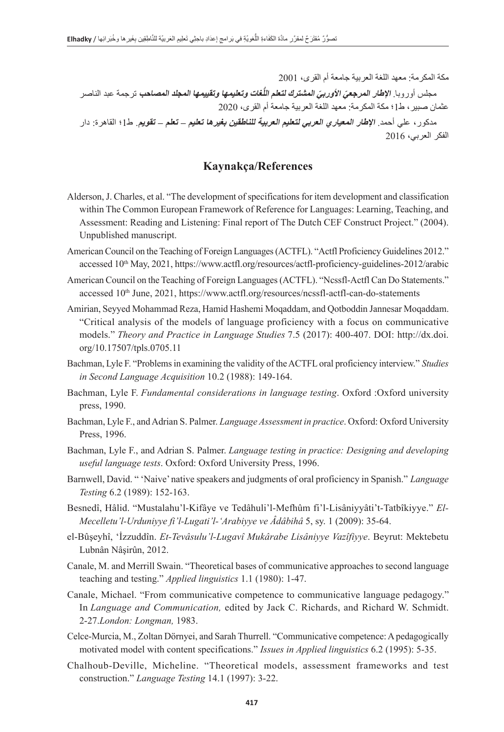مكة المكرمة: معهد اللغة العربية جامعة أم القرى، 2001 مجلس أوروبا. **الإطا***ر المرجعيّ الأوربيّ المشترك لتعلم اللُ***غا***ت وتعليمها وتقييمها المجلد المصاحب* **ترجمة عبد الناصر** عثمان صبير، ط1؛ مكة المكرمة: معهد اللغة العربية جامعة أم القرى، 2020 مدكور، علي أحمد. **اإلطار المعياري العربي لتعليم العربية للناطقين بغيرها تعليم – تعلم – تقويم**. ط1؛ القاهرة: دار الفكر العربي، 2016

#### **Kaynakça/References**

- Alderson, J. Charles, et al. "The development of specifications for item development and classification within The Common European Framework of Reference for Languages: Learning, Teaching, and Assessment: Reading and Listening: Final report of The Dutch CEF Construct Project." (2004). Unpublished manuscript.
- American Council on the Teaching of Foreign Languages (ACTFL). "Actfl Proficiency Guidelines 2012." accessed 10<sup>th</sup> May, 2021,<https://www.actfl.org/resources/actfl-proficiency-guidelines-2012/arabic>
- American Council on the Teaching of Foreign Languages (ACTFL). "Ncssfl-Actfl Can Do Statements." accessed 10<sup>th</sup> June, 2021,<https://www.actfl.org/resources/ncssfl-actfl-can-do-statements>
- Amirian, Seyyed Mohammad Reza, Hamid Hashemi Moqaddam, and Qotboddin Jannesar Moqaddam. "Critical analysis of the models of language proficiency with a focus on communicative models." *Theory and Practice in Language Studies* 7.5 (2017): 400-407. DOI: http://dx.doi. org/10.17507/tpls.0705.11
- Bachman, Lyle F. "Problems in examining the validity of the ACTFL oral proficiency interview." *Studies in Second Language Acquisition* 10.2 (1988): 149-164.
- Bachman, Lyle F. *Fundamental considerations in language testing*. Oxford :Oxford university press, 1990.
- Bachman, Lyle F., and Adrian S. Palmer. *Language Assessment in practice*. Oxford: Oxford University Press, 1996.
- Bachman, Lyle F., and Adrian S. Palmer. *Language testing in practice: Designing and developing useful language tests*. Oxford: Oxford University Press, 1996.
- Barnwell, David. " 'Naive' native speakers and judgments of oral proficiency in Spanish." *Language Testing* 6.2 (1989): 152-163.
- Besnedî, Hâlid. "Mustalahu'l-Kifâye ve Tedâhuli'l-Mefhûm fi'l-Lisâniyyâti't-Tatbîkiyye." *El-Mecelletu'l-Urduniyye fi'l-Lugati'l-'Arabiyye ve Âdâbihâ* 5, sy. 1 (2009): 35-64.
- el-Bûşeyhî, 'İzzuddîn. *Et-Tevâsulu'l-Lugavî Mukârabe Lisâniyye Vazîfiyye*. Beyrut: Mektebetu Lubnân Nâşirûn, 2012.
- Canale, M. and Merrill Swain. "Theoretical bases of communicative approaches to second language teaching and testing." *Applied linguistics* 1.1 (1980): 1-47.
- Canale, Michael. "From communicative competence to communicative language pedagogy." In *Language and Communication,* edited by Jack C. Richards, and Richard W. Schmidt. 2-27.*London: Longman,* 1983.
- Celce-Murcia, M., Zoltan Dörnyei, and Sarah Thurrell. "Communicative competence: A pedagogically motivated model with content specifications." *Issues in Applied linguistics* 6.2 (1995): 5-35.
- Chalhoub-Deville, Micheline. "Theoretical models, assessment frameworks and test construction." *Language Testing* 14.1 (1997): 3-22.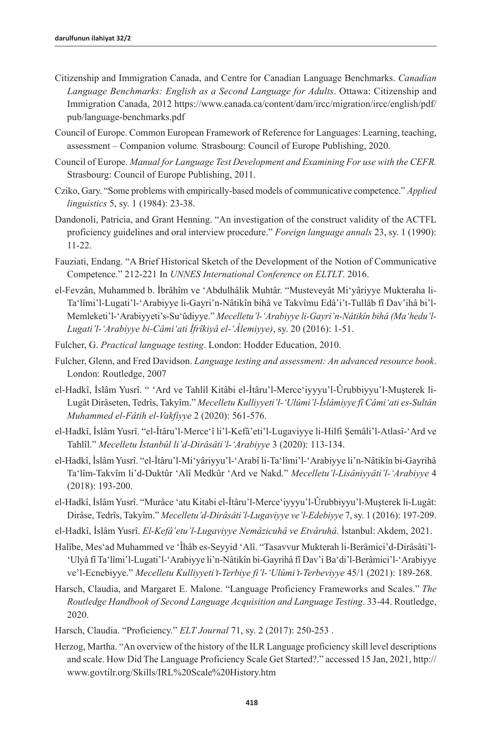- Citizenship and Immigration Canada, and Centre for Canadian Language Benchmarks. *Canadian Language Benchmarks: English as a Second Language for Adults*. Ottawa: Citizenship and Immigration Canada, 2012 https://www.canada.ca/content/dam/ircc/migration/ircc/english/pdf/ pub/language-benchmarks.pdf
- Council of Europe. Common European Framework of Reference for Languages: Learning, teaching, assessment – Companion volume*.* Strasbourg: Council of Europe Publishing, 2020.
- Council of Europe. *Manual for Language Test Development and Examining For use with the CEFR.* Strasbourg: Council of Europe Publishing, 2011.
- Cziko, Gary. "Some problems with empirically-based models of communicative competence." *Applied linguistics* 5, sy. 1 (1984): 23-38.
- Dandonoli, Patricia, and Grant Henning. "An investigation of the construct validity of the ACTFL proficiency guidelines and oral interview procedure." *Foreign language annals* 23, sy. 1 (1990): 11-22.
- Fauziati, Endang. "A Brief Historical Sketch of the Development of the Notion of Communicative Competence." 212-221 In *UNNES International Conference on ELTLT*. 2016.
- el-Fevzân, Muhammed b. İbrâhîm ve 'Abdulhâlik Muhtâr. "Musteveyât Mi'yâriyye Mukteraha li-Ta'lîmi'l-Lugati'l-'Arabiyye li-Gayri'n-Nâtikîn bihâ ve Takvîmu Edâ'i't-Tullâb fî Dav'ihâ bi'l-Memleketi'l-'Arabiyyeti's-Su'ûdiyye." *Mecelletu'l-'Arabiyye li-Gayri'n-Nâtikîn bihâ (Ma'hedu'l-Lugati'l-'Arabiyye bi-Câmi'ati İfrîkiyâ el-'Âlemiyye)*, sy. 20 (2016): 1-51.
- Fulcher, G. *Practical language testing*. London: Hodder Education, 2010.
- Fulcher, Glenn, and Fred Davidson. *Language testing and assessment: An advanced resource book*. London: Routledge, 2007
- el-Hadkî, İslâm Yusrî. " 'Ard ve Tahlîl Kitâbi el-İtâru'l-Merce'iyyyu'l-Ûrubbiyyu'l-Muşterek li-Lugât Dirâseten, Tedrîs, Takyîm." *Mecelletu Kulliyyeti'l-'Ulûmi'l-İslâmiyye fî Câmi'ati es-Sultân Muhammed el-Fâtih el-Vakfiyye* 2 (2020): 561-576.
- el-Hadkî, İslâm Yusrî. "el-İtâru'l-Merce'î li'l-Kefâ'eti'l-Lugaviyye li-Hilfi Şemâli'l-Atlasî-'Ard ve Tahlîl." *Mecelletu İstanbûl li'd-Dirâsâti'l-'Arabiyye* 3 (2020): 113-134.
- el-Hadkî, İslâm Yusrî. "el-İtâru'l-Mi'yâriyyu'l-'Arabî li-Ta'lîmi'l-'Arabiyye li'n-Nâtikîn bi-Gayrihâ Ta'lîm-Takvîm li'd-Duktûr 'Alî Medkûr 'Ard ve Nakd." *Mecelletu'l-Lisâniyyâti'l-'Arabiyye* 4 (2018): 193-200.
- el-Hadkî, İslâm Yusrî. "Murâce 'atu Kitabi el-İtâru'l-Merce'iyyyu'l-Ûrubbiyyu'l-Muşterek li-Lugât: Dirâse, Tedrîs, Takyîm." *Mecelletu'd-Dirâsâti'l-Lugaviyye ve'l-Edebiyye* 7, sy. 1 (2016): 197-209.
- el-Hadkî, İslâm Yusrî. *El-Kefâ'etu'l-Lugaviyye Nemâzicuhâ ve Etvâruhâ*. İstanbul: Akdem, 2021.
- Halîbe, Mes'ad Muhammed ve 'Îhâb es-Seyyid 'Alî. "Tasavvur Mukterah li-Berâmici'd-Dirâsâti'l- 'Ulyâ fî Ta'lîmi'l-Lugati'l-'Arabiyye li'n-Nâtikîn bi-Gayrihâ fî Dav'i Ba'di'l-Berâmici'l-'Arabiyye ve'l-Ecnebiyye." *Mecelletu Kulliyyeti't-Terbiye fi'l-'Ulûmi't-Terbeviyye* 45/1 (2021): 189-268.
- Harsch, Claudia, and Margaret E. Malone. "Language Proficiency Frameworks and Scales." *The Routledge Handbook of Second Language Acquisition and Language Testing*. 33-44. Routledge, 2020.
- Harsch, Claudia. "Proficiency." *ELT Journal* 71, sy. 2 (2017): 250-253 .
- Herzog, Martha. "An overview of the history of the ILR Language proficiency skill level descriptions and scale. How Did The Language Proficiency Scale Get Started?." accessed 15 Jan, 2021, [http://](http://www.govtilr.org/Skills/IRL Scale History.htm) [www.govtilr.org/Skills/IRL%20Scale%20History.htm](http://www.govtilr.org/Skills/IRL Scale History.htm)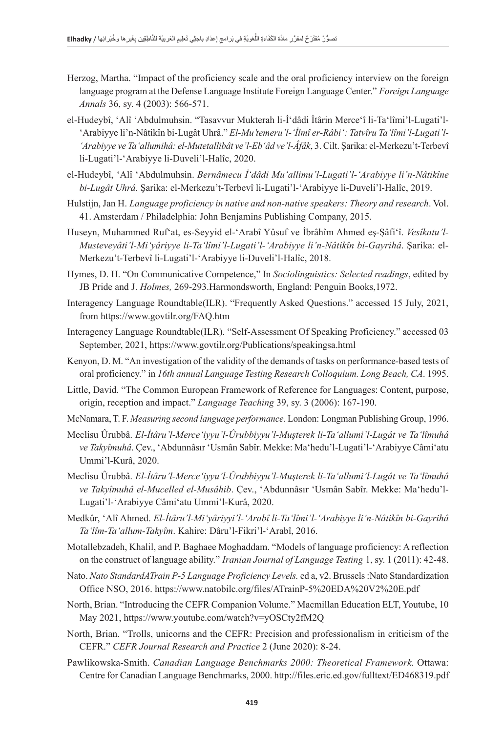- Herzog, Martha. "Impact of the proficiency scale and the oral proficiency interview on the foreign language program at the Defense Language Institute Foreign Language Center." *Foreign Language Annals* 36, sy. 4 (2003): 566-571.
- el-Hudeybî, 'Alî 'Abdulmuhsin. "Tasavvur Mukterah li-İ'dâdi İtârin Merce'î li-Ta'lîmi'l-Lugati'l- 'Arabiyye li'n-Nâtikîn bi-Lugât Uhrâ." *El-Mu'temeru'l-'İlmî er-Râbi': Tatvîru Ta'lîmi'l-Lugati'l- 'Arabiyye ve Ta'allumihâ: el-Mutetallibât ve'l-Eb'âd ve'l-Âfâk*, 3. Cilt. Şarika: el-Merkezu't-Terbevî li-Lugati'l-'Arabiyye li-Duveli'l-Halîc, 2020.
- el-Hudeybî, 'Alî 'Abdulmuhsin. *Bernâmecu İ'dâdi Mu'allimu'l-Lugati'l-'Arabiyye li'n-Nâtikîne bi-Lugât Uhrâ*. Şarika: el-Merkezu't-Terbevî li-Lugati'l-'Arabiyye li-Duveli'l-Halîc, 2019.
- Hulstijn, Jan H. *Language proficiency in native and non-native speakers: Theory and research*. Vol. 41. Amsterdam / Philadelphia: John Benjamins Publishing Company, 2015.
- Huseyn, Muhammed Ruf'at, es-Seyyid el-'Arabî Yûsuf ve İbrâhîm Ahmed eş-Şâfi'î. *Vesîkatu'l-Musteveyâti'l-Mi'yâriyye li-Ta'lîmi'l-Lugati'l-'Arabiyye li'n-Nâtikîn bi-Gayrihâ*. Şarika: el-Merkezu't-Terbevî li-Lugati'l-'Arabiyye li-Duveli'l-Halîc, 2018.
- Hymes, D. H. "On Communicative Competence," In *Sociolinguistics: Selected readings*, edited by JB Pride and J. *Holmes,* 269-293.Harmondsworth, England: Penguin Books,1972.
- Interagency Language Roundtable(ILR). "Frequently Asked Questions." accessed 15 July, 2021, from [https://www.govtilr.org/FAQ.htm](https://www.govtilr.org/FAQ.htm#2)
- Interagency Language Roundtable(ILR). "Self-Assessment Of Speaking Proficiency." accessed 03 September, 2021, https://www.govtilr.org/Publications/speakingsa.html
- Kenyon, D. M. "An investigation of the validity of the demands of tasks on performance-based tests of oral proficiency." in *16th annual Language Testing Research Colloquium. Long Beach, CA*. 1995.
- Little, David. "The Common European Framework of Reference for Languages: Content, purpose, origin, reception and impact." *Language Teaching* 39, sy. 3 (2006): 167-190.
- McNamara, T. F. *Measuring second language performance.* London: Longman Publishing Group, 1996.
- Meclisu Ûrubbâ. *El-İtâru'l-Merce'iyyu'l-Ûrubbiyyu'l-Muşterek li-Ta'allumi'l-Lugât ve Ta'lîmuhâ ve Takyîmuhâ*. Çev., 'Abdunnâsır 'Usmân Sabîr. Mekke: Ma'hedu'l-Lugati'l-'Arabiyye Câmi'atu Ummi'l-Kurâ, 2020.
- Meclisu Ûrubbâ. *El-İtâru'l-Merce'iyyu'l-Ûrubbiyyu'l-Muşterek li-Ta'allumi'l-Lugât ve Ta'lîmuhâ ve Takyîmuhâ el-Mucelled el-Musâhib*. Çev., 'Abdunnâsır 'Usmân Sabîr. Mekke: Ma'hedu'l-Lugati'l-'Arabiyye Câmi'atu Ummi'l-Kurâ, 2020.
- Medkûr, 'Alî Ahmed. *El-İtâru'l-Mi'yâriyyi'l-'Arabî li-Ta'lîmi'l-'Arabiyye li'n-Nâtikîn bi-Gayrihâ Ta'lîm-Ta'allum-Takyîm*. Kahire: Dâru'l-Fikri'l-'Arabî, 2016.
- Motallebzadeh, Khalil, and P. Baghaee Moghaddam. "Models of language proficiency: A reflection on the construct of language ability." *Iranian Journal of Language Testing* 1, sy. 1 (2011): 42-48.
- Nato. *Nato StandardATrain P-5 Language Proficiency Levels.* ed a, v2. Brussels :Nato Standardization Office NSO, 2016. [https://www.natobilc.org/files/ATrainP-5%20EDA%20V2%20E.pdf](https://www.natobilc.org/files/ATrainP-5%2520EDA%2520V2%2520E.pdf)
- North, Brian. "Introducing the CEFR Companion Volume." Macmillan Education ELT, Youtube, 10 May 2021, <https://www.youtube.com/watch?v=yOSCty2fM2Q>
- North, Brian. "Trolls, unicorns and the CEFR: Precision and professionalism in criticism of the CEFR." *CEFR Journal Research and Practice* 2 (June 2020): 8-24.
- Pawlikowska-Smith. *Canadian Language Benchmarks 2000: Theoretical Framework.* Ottawa: Centre for Canadian Language Benchmarks, 2000.<http://files.eric.ed.gov/fulltext/ED468319.pdf>